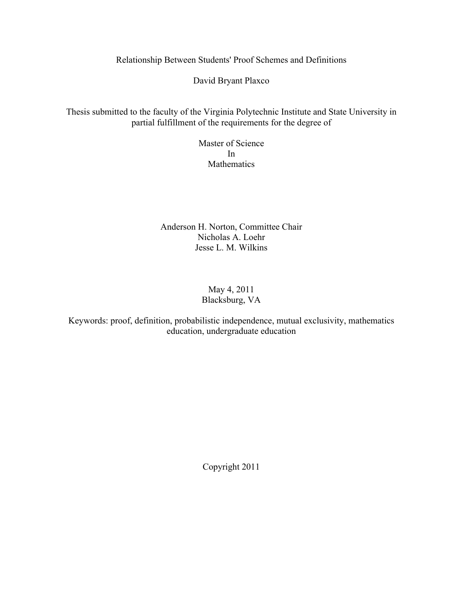Relationship Between Students' Proof Schemes and Definitions

David Bryant Plaxco

Thesis submitted to the faculty of the Virginia Polytechnic Institute and State University in partial fulfillment of the requirements for the degree of

> Master of Science In Mathematics

Anderson H. Norton, Committee Chair Nicholas A. Loehr Jesse L. M. Wilkins

# May 4, 2011 Blacksburg, VA

Keywords: proof, definition, probabilistic independence, mutual exclusivity, mathematics education, undergraduate education

Copyright 2011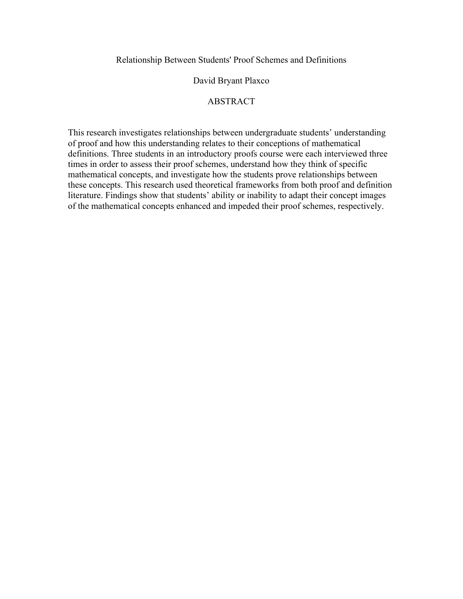Relationship Between Students' Proof Schemes and Definitions

# David Bryant Plaxco

# **ABSTRACT**

This research investigates relationships between undergraduate students' understanding of proof and how this understanding relates to their conceptions of mathematical definitions. Three students in an introductory proofs course were each interviewed three times in order to assess their proof schemes, understand how they think of specific mathematical concepts, and investigate how the students prove relationships between these concepts. This research used theoretical frameworks from both proof and definition literature. Findings show that students' ability or inability to adapt their concept images of the mathematical concepts enhanced and impeded their proof schemes, respectively.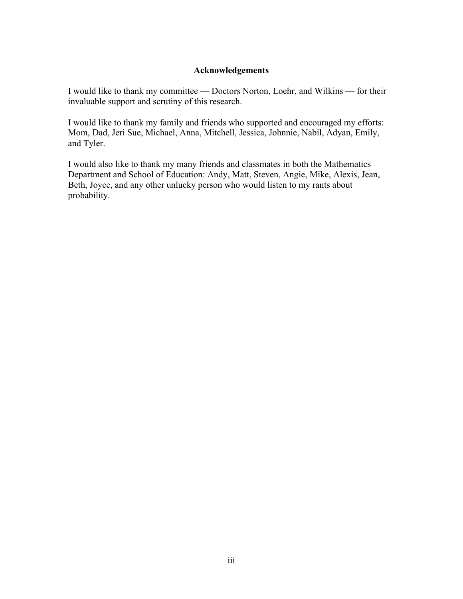# **Acknowledgements**

I would like to thank my committee — Doctors Norton, Loehr, and Wilkins — for their invaluable support and scrutiny of this research.

I would like to thank my family and friends who supported and encouraged my efforts: Mom, Dad, Jeri Sue, Michael, Anna, Mitchell, Jessica, Johnnie, Nabil, Adyan, Emily, and Tyler.

I would also like to thank my many friends and classmates in both the Mathematics Department and School of Education: Andy, Matt, Steven, Angie, Mike, Alexis, Jean, Beth, Joyce, and any other unlucky person who would listen to my rants about probability.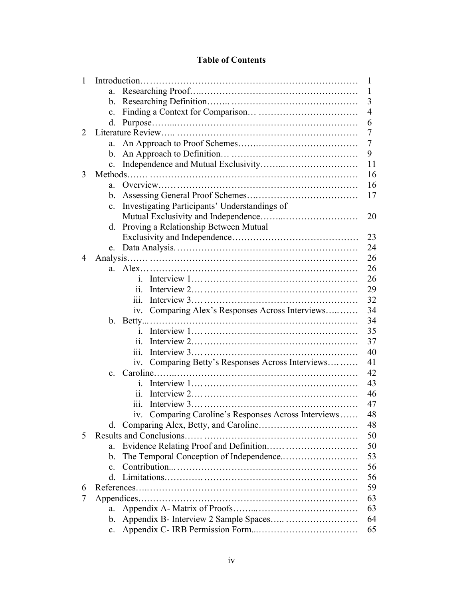# **Table of Contents**

| 1 | $\mathbf{1}$   |                                                         |                |
|---|----------------|---------------------------------------------------------|----------------|
|   | a.             |                                                         | 1              |
|   | $\mathbf{b}$ . |                                                         | 3              |
|   | $\mathbf{c}$ . |                                                         | $\overline{4}$ |
|   | d.             |                                                         | 6              |
| 2 |                |                                                         | 7              |
|   | a.             |                                                         | 7              |
|   | $b_{\cdot}$    |                                                         | 9              |
|   | $\mathbf{c}$ . |                                                         | 11             |
| 3 |                |                                                         | 16             |
|   | a.             |                                                         | 16             |
|   | b.             |                                                         | 17             |
|   | $\mathbf{c}$ . | Investigating Participants' Understandings of           |                |
|   |                |                                                         | 20             |
|   | d.             | Proving a Relationship Between Mutual                   |                |
|   |                |                                                         | 23             |
|   | e.             |                                                         | 24             |
| 4 |                |                                                         | 26             |
|   |                |                                                         | 26             |
|   |                | $\mathbf{1}$                                            | 26             |
|   |                | 11.                                                     | 29             |
|   |                | 111.                                                    | 32             |
|   |                | Comparing Alex's Responses Across Interviews<br>1V.     | 34             |
|   |                |                                                         | 34             |
|   |                | $\mathbf{1}$                                            | 35             |
|   |                | 11.                                                     | 37             |
|   |                | 111.                                                    | 40             |
|   |                | Comparing Betty's Responses Across Interviews<br>1V.    | 41             |
|   | $c_{-}$        |                                                         | 42             |
|   |                | i.                                                      | 43             |
|   |                | 11.                                                     | 46             |
|   |                | 111.                                                    | 47             |
|   |                | Comparing Caroline's Responses Across Interviews<br>1V. | 48             |
|   | d.             |                                                         | 48             |
| 5 |                |                                                         | 50             |
|   | a.             |                                                         | 50             |
|   | $\mathbf{b}$ . |                                                         | 53             |
|   | $\mathbf{c}$ . |                                                         | 56             |
|   | d.             |                                                         | 56             |
| 6 |                |                                                         | 59             |
| 7 |                |                                                         | 63             |
|   | a.             |                                                         | 63             |
|   | b.             |                                                         | 64             |
|   | $\mathbf{c}$ . |                                                         | 65             |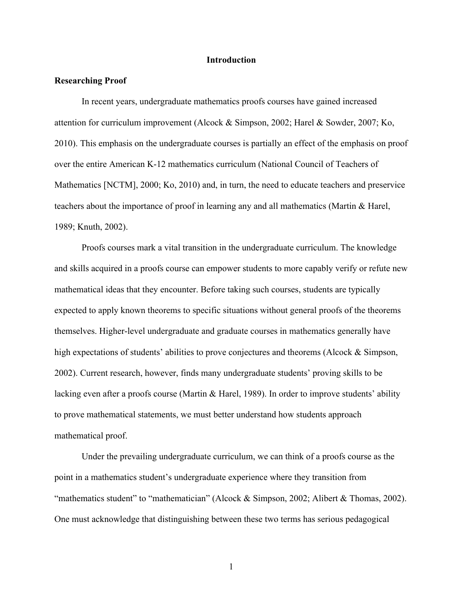### **Introduction**

## **Researching Proof**

In recent years, undergraduate mathematics proofs courses have gained increased attention for curriculum improvement (Alcock & Simpson, 2002; Harel & Sowder, 2007; Ko, 2010). This emphasis on the undergraduate courses is partially an effect of the emphasis on proof over the entire American K-12 mathematics curriculum (National Council of Teachers of Mathematics [NCTM], 2000; Ko, 2010) and, in turn, the need to educate teachers and preservice teachers about the importance of proof in learning any and all mathematics (Martin & Harel, 1989; Knuth, 2002).

Proofs courses mark a vital transition in the undergraduate curriculum. The knowledge and skills acquired in a proofs course can empower students to more capably verify or refute new mathematical ideas that they encounter. Before taking such courses, students are typically expected to apply known theorems to specific situations without general proofs of the theorems themselves. Higher-level undergraduate and graduate courses in mathematics generally have high expectations of students' abilities to prove conjectures and theorems (Alcock & Simpson, 2002). Current research, however, finds many undergraduate students' proving skills to be lacking even after a proofs course (Martin & Harel, 1989). In order to improve students' ability to prove mathematical statements, we must better understand how students approach mathematical proof.

Under the prevailing undergraduate curriculum, we can think of a proofs course as the point in a mathematics student's undergraduate experience where they transition from "mathematics student" to "mathematician" (Alcock & Simpson, 2002; Alibert & Thomas, 2002). One must acknowledge that distinguishing between these two terms has serious pedagogical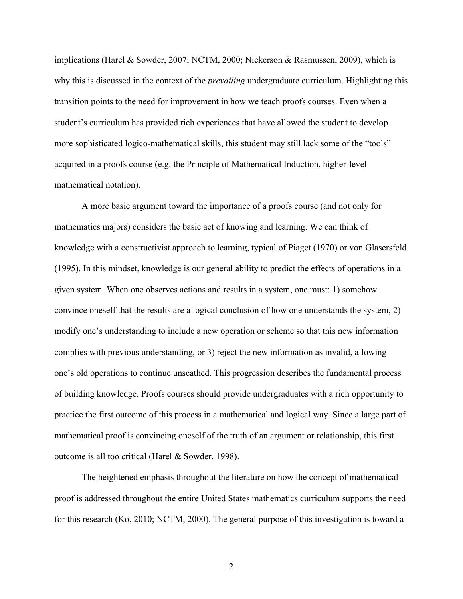implications (Harel & Sowder, 2007; NCTM, 2000; Nickerson & Rasmussen, 2009), which is why this is discussed in the context of the *prevailing* undergraduate curriculum. Highlighting this transition points to the need for improvement in how we teach proofs courses. Even when a student's curriculum has provided rich experiences that have allowed the student to develop more sophisticated logico-mathematical skills, this student may still lack some of the "tools" acquired in a proofs course (e.g. the Principle of Mathematical Induction, higher-level mathematical notation).

A more basic argument toward the importance of a proofs course (and not only for mathematics majors) considers the basic act of knowing and learning. We can think of knowledge with a constructivist approach to learning, typical of Piaget (1970) or von Glasersfeld (1995). In this mindset, knowledge is our general ability to predict the effects of operations in a given system. When one observes actions and results in a system, one must: 1) somehow convince oneself that the results are a logical conclusion of how one understands the system, 2) modify one's understanding to include a new operation or scheme so that this new information complies with previous understanding, or 3) reject the new information as invalid, allowing one's old operations to continue unscathed. This progression describes the fundamental process of building knowledge. Proofs courses should provide undergraduates with a rich opportunity to practice the first outcome of this process in a mathematical and logical way. Since a large part of mathematical proof is convincing oneself of the truth of an argument or relationship, this first outcome is all too critical (Harel & Sowder, 1998).

The heightened emphasis throughout the literature on how the concept of mathematical proof is addressed throughout the entire United States mathematics curriculum supports the need for this research (Ko, 2010; NCTM, 2000). The general purpose of this investigation is toward a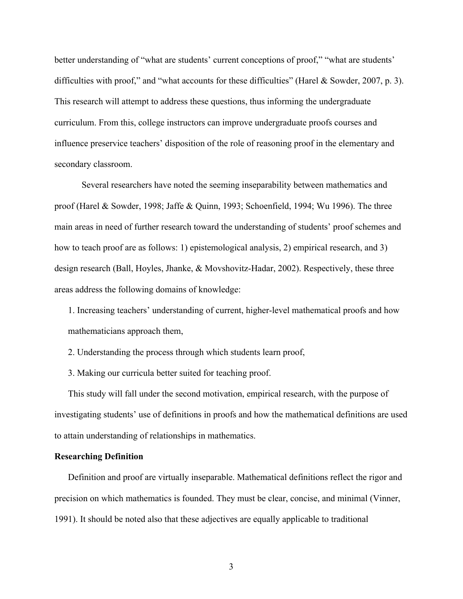better understanding of "what are students' current conceptions of proof," "what are students' difficulties with proof," and "what accounts for these difficulties" (Harel & Sowder, 2007, p. 3). This research will attempt to address these questions, thus informing the undergraduate curriculum. From this, college instructors can improve undergraduate proofs courses and influence preservice teachers' disposition of the role of reasoning proof in the elementary and secondary classroom.

Several researchers have noted the seeming inseparability between mathematics and proof (Harel & Sowder, 1998; Jaffe & Quinn, 1993; Schoenfield, 1994; Wu 1996). The three main areas in need of further research toward the understanding of students' proof schemes and how to teach proof are as follows: 1) epistemological analysis, 2) empirical research, and 3) design research (Ball, Hoyles, Jhanke, & Movshovitz-Hadar, 2002). Respectively, these three areas address the following domains of knowledge:

1. Increasing teachers' understanding of current, higher-level mathematical proofs and how mathematicians approach them,

2. Understanding the process through which students learn proof,

3. Making our curricula better suited for teaching proof.

This study will fall under the second motivation, empirical research, with the purpose of investigating students' use of definitions in proofs and how the mathematical definitions are used to attain understanding of relationships in mathematics.

## **Researching Definition**

Definition and proof are virtually inseparable. Mathematical definitions reflect the rigor and precision on which mathematics is founded. They must be clear, concise, and minimal (Vinner, 1991). It should be noted also that these adjectives are equally applicable to traditional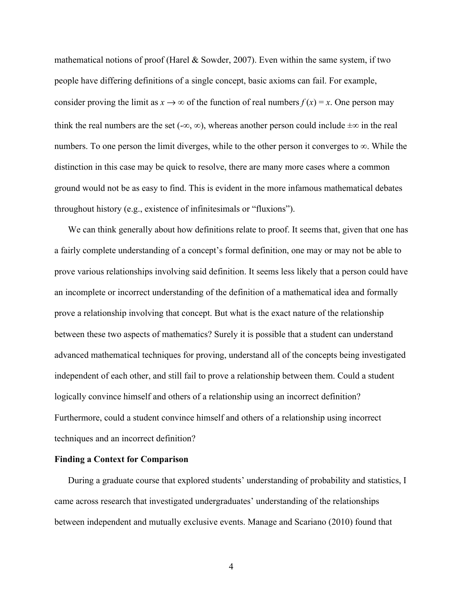mathematical notions of proof (Harel  $&$  Sowder, 2007). Even within the same system, if two people have differing definitions of a single concept, basic axioms can fail. For example, consider proving the limit as  $x \to \infty$  of the function of real numbers  $f(x) = x$ . One person may think the real numbers are the set  $(-\infty, \infty)$ , whereas another person could include  $\pm \infty$  in the real numbers. To one person the limit diverges, while to the other person it converges to ∞. While the distinction in this case may be quick to resolve, there are many more cases where a common ground would not be as easy to find. This is evident in the more infamous mathematical debates throughout history (e.g., existence of infinitesimals or "fluxions").

We can think generally about how definitions relate to proof. It seems that, given that one has a fairly complete understanding of a concept's formal definition, one may or may not be able to prove various relationships involving said definition. It seems less likely that a person could have an incomplete or incorrect understanding of the definition of a mathematical idea and formally prove a relationship involving that concept. But what is the exact nature of the relationship between these two aspects of mathematics? Surely it is possible that a student can understand advanced mathematical techniques for proving, understand all of the concepts being investigated independent of each other, and still fail to prove a relationship between them. Could a student logically convince himself and others of a relationship using an incorrect definition? Furthermore, could a student convince himself and others of a relationship using incorrect techniques and an incorrect definition?

# **Finding a Context for Comparison**

During a graduate course that explored students' understanding of probability and statistics, I came across research that investigated undergraduates' understanding of the relationships between independent and mutually exclusive events. Manage and Scariano (2010) found that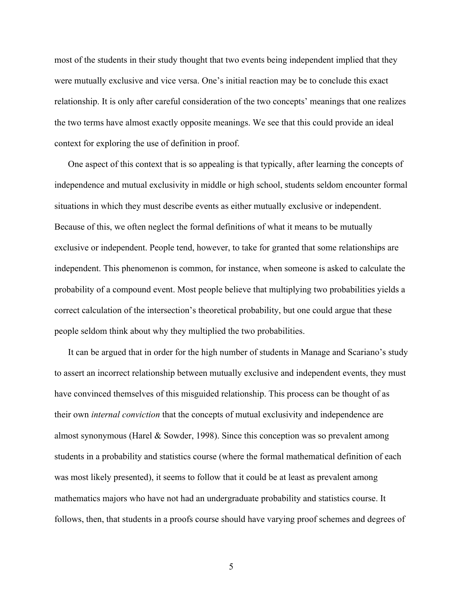most of the students in their study thought that two events being independent implied that they were mutually exclusive and vice versa. One's initial reaction may be to conclude this exact relationship. It is only after careful consideration of the two concepts' meanings that one realizes the two terms have almost exactly opposite meanings. We see that this could provide an ideal context for exploring the use of definition in proof.

One aspect of this context that is so appealing is that typically, after learning the concepts of independence and mutual exclusivity in middle or high school, students seldom encounter formal situations in which they must describe events as either mutually exclusive or independent. Because of this, we often neglect the formal definitions of what it means to be mutually exclusive or independent. People tend, however, to take for granted that some relationships are independent. This phenomenon is common, for instance, when someone is asked to calculate the probability of a compound event. Most people believe that multiplying two probabilities yields a correct calculation of the intersection's theoretical probability, but one could argue that these people seldom think about why they multiplied the two probabilities.

It can be argued that in order for the high number of students in Manage and Scariano's study to assert an incorrect relationship between mutually exclusive and independent events, they must have convinced themselves of this misguided relationship. This process can be thought of as their own *internal conviction* that the concepts of mutual exclusivity and independence are almost synonymous (Harel & Sowder, 1998). Since this conception was so prevalent among students in a probability and statistics course (where the formal mathematical definition of each was most likely presented), it seems to follow that it could be at least as prevalent among mathematics majors who have not had an undergraduate probability and statistics course. It follows, then, that students in a proofs course should have varying proof schemes and degrees of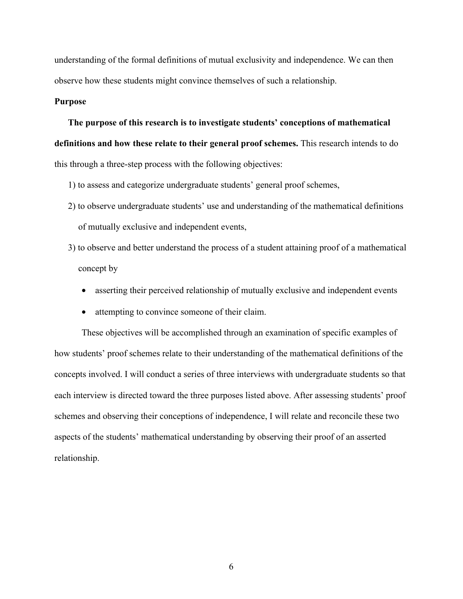understanding of the formal definitions of mutual exclusivity and independence. We can then observe how these students might convince themselves of such a relationship.

#### **Purpose**

**The purpose of this research is to investigate students' conceptions of mathematical definitions and how these relate to their general proof schemes.** This research intends to do this through a three-step process with the following objectives:

- 1) to assess and categorize undergraduate students' general proof schemes,
- 2) to observe undergraduate students' use and understanding of the mathematical definitions of mutually exclusive and independent events,
- 3) to observe and better understand the process of a student attaining proof of a mathematical concept by
	- asserting their perceived relationship of mutually exclusive and independent events
	- attempting to convince someone of their claim.

These objectives will be accomplished through an examination of specific examples of how students' proof schemes relate to their understanding of the mathematical definitions of the concepts involved. I will conduct a series of three interviews with undergraduate students so that each interview is directed toward the three purposes listed above. After assessing students' proof schemes and observing their conceptions of independence, I will relate and reconcile these two aspects of the students' mathematical understanding by observing their proof of an asserted relationship.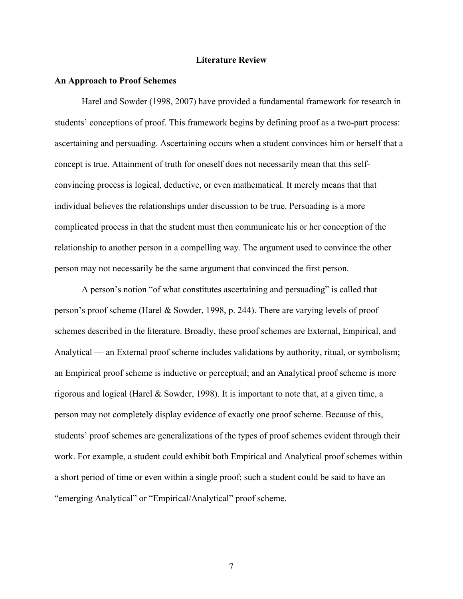#### **Literature Review**

#### **An Approach to Proof Schemes**

Harel and Sowder (1998, 2007) have provided a fundamental framework for research in students' conceptions of proof. This framework begins by defining proof as a two-part process: ascertaining and persuading. Ascertaining occurs when a student convinces him or herself that a concept is true. Attainment of truth for oneself does not necessarily mean that this selfconvincing process is logical, deductive, or even mathematical. It merely means that that individual believes the relationships under discussion to be true. Persuading is a more complicated process in that the student must then communicate his or her conception of the relationship to another person in a compelling way. The argument used to convince the other person may not necessarily be the same argument that convinced the first person.

A person's notion "of what constitutes ascertaining and persuading" is called that person's proof scheme (Harel & Sowder, 1998, p. 244). There are varying levels of proof schemes described in the literature. Broadly, these proof schemes are External, Empirical, and Analytical — an External proof scheme includes validations by authority, ritual, or symbolism; an Empirical proof scheme is inductive or perceptual; and an Analytical proof scheme is more rigorous and logical (Harel & Sowder, 1998). It is important to note that, at a given time, a person may not completely display evidence of exactly one proof scheme. Because of this, students' proof schemes are generalizations of the types of proof schemes evident through their work. For example, a student could exhibit both Empirical and Analytical proof schemes within a short period of time or even within a single proof; such a student could be said to have an "emerging Analytical" or "Empirical/Analytical" proof scheme.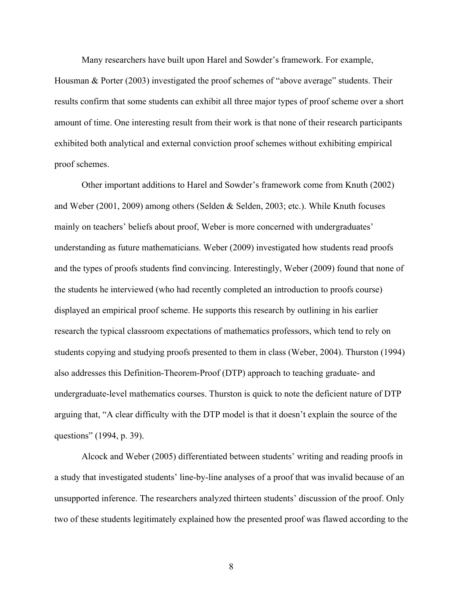Many researchers have built upon Harel and Sowder's framework. For example, Housman & Porter (2003) investigated the proof schemes of "above average" students. Their results confirm that some students can exhibit all three major types of proof scheme over a short amount of time. One interesting result from their work is that none of their research participants exhibited both analytical and external conviction proof schemes without exhibiting empirical proof schemes.

Other important additions to Harel and Sowder's framework come from Knuth (2002) and Weber (2001, 2009) among others (Selden & Selden, 2003; etc.). While Knuth focuses mainly on teachers' beliefs about proof, Weber is more concerned with undergraduates' understanding as future mathematicians. Weber (2009) investigated how students read proofs and the types of proofs students find convincing. Interestingly, Weber (2009) found that none of the students he interviewed (who had recently completed an introduction to proofs course) displayed an empirical proof scheme. He supports this research by outlining in his earlier research the typical classroom expectations of mathematics professors, which tend to rely on students copying and studying proofs presented to them in class (Weber, 2004). Thurston (1994) also addresses this Definition-Theorem-Proof (DTP) approach to teaching graduate- and undergraduate-level mathematics courses. Thurston is quick to note the deficient nature of DTP arguing that, "A clear difficulty with the DTP model is that it doesn't explain the source of the questions" (1994, p. 39).

Alcock and Weber (2005) differentiated between students' writing and reading proofs in a study that investigated students' line-by-line analyses of a proof that was invalid because of an unsupported inference. The researchers analyzed thirteen students' discussion of the proof. Only two of these students legitimately explained how the presented proof was flawed according to the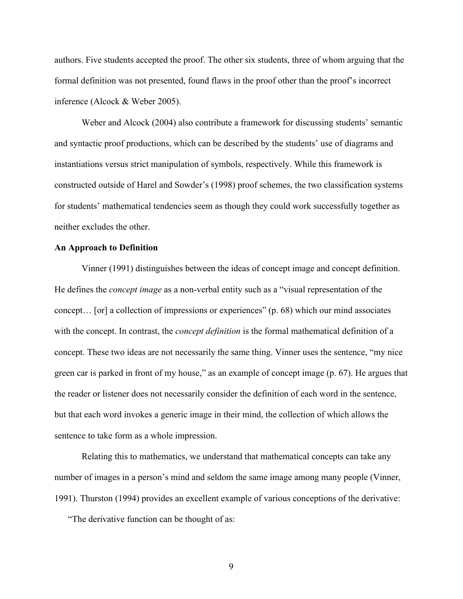authors. Five students accepted the proof. The other six students, three of whom arguing that the formal definition was not presented, found flaws in the proof other than the proof's incorrect inference (Alcock & Weber 2005).

Weber and Alcock (2004) also contribute a framework for discussing students' semantic and syntactic proof productions, which can be described by the students' use of diagrams and instantiations versus strict manipulation of symbols, respectively. While this framework is constructed outside of Harel and Sowder's (1998) proof schemes, the two classification systems for students' mathematical tendencies seem as though they could work successfully together as neither excludes the other.

# **An Approach to Definition**

Vinner (1991) distinguishes between the ideas of concept image and concept definition. He defines the *concept image* as a non-verbal entity such as a "visual representation of the concept… [or] a collection of impressions or experiences" (p. 68) which our mind associates with the concept. In contrast, the *concept definition* is the formal mathematical definition of a concept. These two ideas are not necessarily the same thing. Vinner uses the sentence, "my nice green car is parked in front of my house," as an example of concept image (p. 67). He argues that the reader or listener does not necessarily consider the definition of each word in the sentence, but that each word invokes a generic image in their mind, the collection of which allows the sentence to take form as a whole impression.

Relating this to mathematics, we understand that mathematical concepts can take any number of images in a person's mind and seldom the same image among many people (Vinner, 1991). Thurston (1994) provides an excellent example of various conceptions of the derivative:

"The derivative function can be thought of as: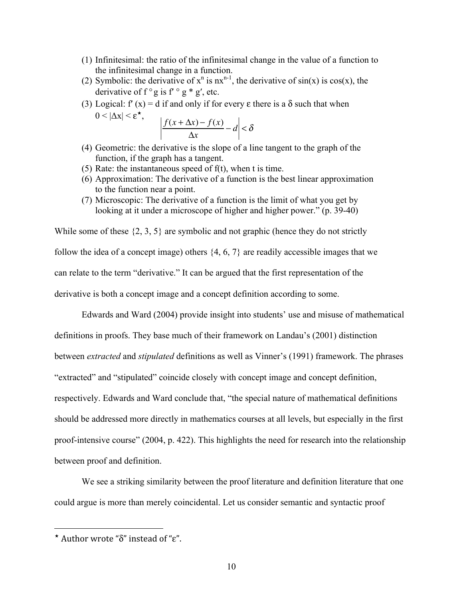- (1) Infinitesimal: the ratio of the infinitesimal change in the value of a function to the infinitesimal change in a function.
- (2) Symbolic: the derivative of  $x^n$  is  $nx^{n-1}$ , the derivative of  $sin(x)$  is  $cos(x)$ , the derivative of  $f \circ g$  is  $f' \circ g * g'$ , etc.
- (3) Logical: f' (x) = d if and only if for every  $\varepsilon$  there is a  $\delta$  such that when  $0 < |\Delta x| < \varepsilon^{\star},$   $|f(x + \Delta x) - f(x)|$

$$
\left| \frac{f(x + \Delta x) - f(x)}{\Delta x} - d \right| < \delta
$$

- (4) Geometric: the derivative is the slope of a line tangent to the graph of the function, if the graph has a tangent.
- (5) Rate: the instantaneous speed of f(t), when t is time.
- (6) Approximation: The derivative of a function is the best linear approximation to the function near a point.
- (7) Microscopic: The derivative of a function is the limit of what you get by looking at it under a microscope of higher and higher power." (p. 39-40)

While some of these  $\{2, 3, 5\}$  are symbolic and not graphic (hence they do not strictly follow the idea of a concept image) others {4, 6, 7} are readily accessible images that we can relate to the term "derivative." It can be argued that the first representation of the derivative is both a concept image and a concept definition according to some.

Edwards and Ward (2004) provide insight into students' use and misuse of mathematical definitions in proofs. They base much of their framework on Landau's (2001) distinction between *extracted* and *stipulated* definitions as well as Vinner's (1991) framework. The phrases "extracted" and "stipulated" coincide closely with concept image and concept definition, respectively. Edwards and Ward conclude that, "the special nature of mathematical definitions should be addressed more directly in mathematics courses at all levels, but especially in the first proof-intensive course" (2004, p. 422). This highlights the need for research into the relationship between proof and definition.

We see a striking similarity between the proof literature and definition literature that one could argue is more than merely coincidental. Let us consider semantic and syntactic proof

 $\overline{a}$ 

Author wrote "δ" instead of "ε".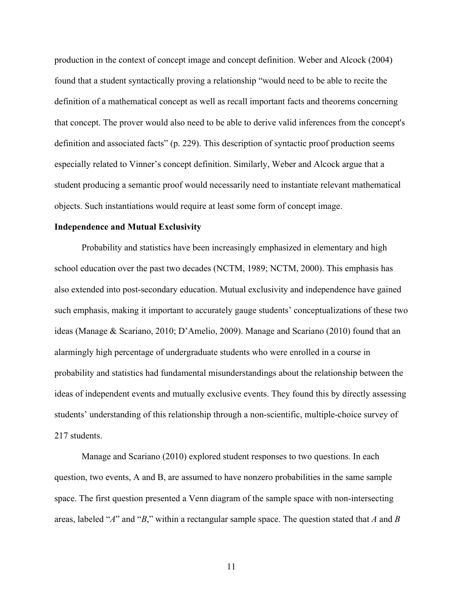production in the context of concept image and concept definition. Weber and Alcock (2004) found that a student syntactically proving a relationship "would need to be able to recite the definition of a mathematical concept as well as recall important facts and theorems concerning that concept. The prover would also need to be able to derive valid inferences from the concept's definition and associated facts" (p. 229). This description of syntactic proof production seems especially related to Vinner's concept definition. Similarly, Weber and Alcock argue that a student producing a semantic proof would necessarily need to instantiate relevant mathematical objects. Such instantiations would require at least some form of concept image.

## **Independence and Mutual Exclusivity**

Probability and statistics have been increasingly emphasized in elementary and high school education over the past two decades (NCTM, 1989; NCTM, 2000). This emphasis has also extended into post-secondary education. Mutual exclusivity and independence have gained such emphasis, making it important to accurately gauge students' conceptualizations of these two ideas (Manage & Scariano, 2010; D'Amelio, 2009). Manage and Scariano (2010) found that an alarmingly high percentage of undergraduate students who were enrolled in a course in probability and statistics had fundamental misunderstandings about the relationship between the ideas of independent events and mutually exclusive events. They found this by directly assessing students' understanding of this relationship through a non-scientific, multiple-choice survey of 217 students.

Manage and Scariano (2010) explored student responses to two questions. In each question, two events, A and B, are assumed to have nonzero probabilities in the same sample space. The first question presented a Venn diagram of the sample space with non-intersecting areas, labeled "*A*" and "*B*," within a rectangular sample space. The question stated that *A* and *B*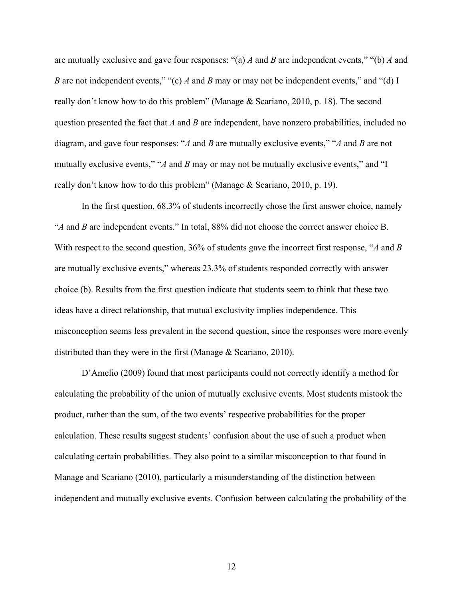are mutually exclusive and gave four responses: "(a) *A* and *B* are independent events," "(b) *A* and *B* are not independent events," "(c) *A* and *B* may or may not be independent events," and "(d) I really don't know how to do this problem" (Manage & Scariano, 2010, p. 18). The second question presented the fact that *A* and *B* are independent, have nonzero probabilities, included no diagram, and gave four responses: "*A* and *B* are mutually exclusive events," "*A* and *B* are not mutually exclusive events," "*A* and *B* may or may not be mutually exclusive events," and "I really don't know how to do this problem" (Manage & Scariano, 2010, p. 19).

In the first question, 68.3% of students incorrectly chose the first answer choice, namely "*A* and *B* are independent events." In total, 88% did not choose the correct answer choice B. With respect to the second question, 36% of students gave the incorrect first response, "*A* and *B* are mutually exclusive events," whereas 23.3% of students responded correctly with answer choice (b). Results from the first question indicate that students seem to think that these two ideas have a direct relationship, that mutual exclusivity implies independence. This misconception seems less prevalent in the second question, since the responses were more evenly distributed than they were in the first (Manage & Scariano, 2010).

D'Amelio (2009) found that most participants could not correctly identify a method for calculating the probability of the union of mutually exclusive events. Most students mistook the product, rather than the sum, of the two events' respective probabilities for the proper calculation. These results suggest students' confusion about the use of such a product when calculating certain probabilities. They also point to a similar misconception to that found in Manage and Scariano (2010), particularly a misunderstanding of the distinction between independent and mutually exclusive events. Confusion between calculating the probability of the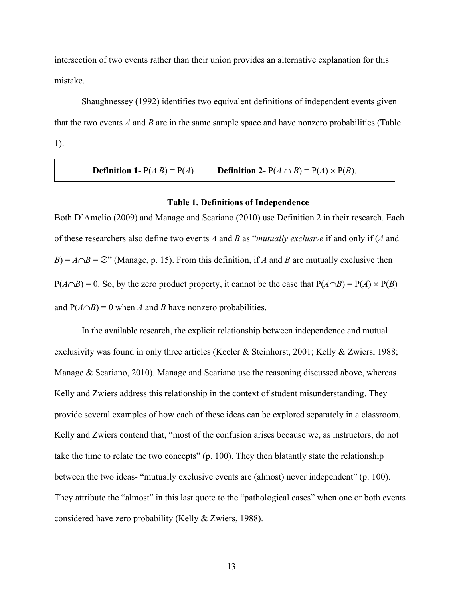intersection of two events rather than their union provides an alternative explanation for this mistake.

Shaughnessey (1992) identifies two equivalent definitions of independent events given that the two events *A* and *B* are in the same sample space and have nonzero probabilities (Table 1).

**Definition 1-**  $P(A|B) = P(A)$  **Definition 2-**  $P(A \cap B) = P(A) \times P(B)$ .

### **Table 1. Definitions of Independence**

Both D'Amelio (2009) and Manage and Scariano (2010) use Definition 2 in their research. Each of these researchers also define two events *A* and *B* as "*mutually exclusive* if and only if (*A* and *B*) =  $A \cap B = \emptyset$ " (Manage, p. 15). From this definition, if *A* and *B* are mutually exclusive then  $P(A \cap B) = 0$ . So, by the zero product property, it cannot be the case that  $P(A \cap B) = P(A) \times P(B)$ and  $P(A \cap B) = 0$  when *A* and *B* have nonzero probabilities.

In the available research, the explicit relationship between independence and mutual exclusivity was found in only three articles (Keeler & Steinhorst, 2001; Kelly & Zwiers, 1988; Manage & Scariano, 2010). Manage and Scariano use the reasoning discussed above, whereas Kelly and Zwiers address this relationship in the context of student misunderstanding. They provide several examples of how each of these ideas can be explored separately in a classroom. Kelly and Zwiers contend that, "most of the confusion arises because we, as instructors, do not take the time to relate the two concepts" (p. 100). They then blatantly state the relationship between the two ideas- "mutually exclusive events are (almost) never independent" (p. 100). They attribute the "almost" in this last quote to the "pathological cases" when one or both events considered have zero probability (Kelly & Zwiers, 1988).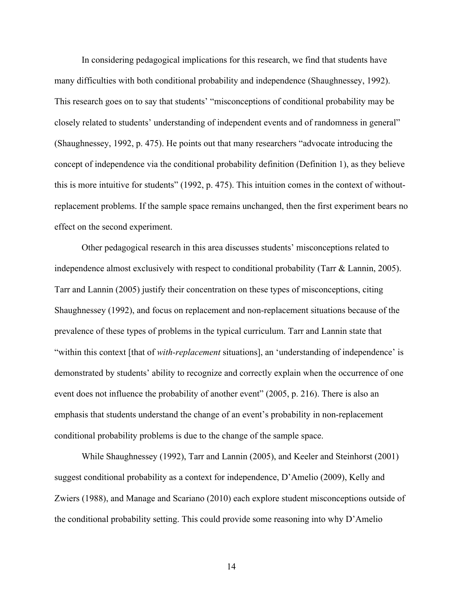In considering pedagogical implications for this research, we find that students have many difficulties with both conditional probability and independence (Shaughnessey, 1992). This research goes on to say that students' "misconceptions of conditional probability may be closely related to students' understanding of independent events and of randomness in general" (Shaughnessey, 1992, p. 475). He points out that many researchers "advocate introducing the concept of independence via the conditional probability definition (Definition 1), as they believe this is more intuitive for students" (1992, p. 475). This intuition comes in the context of withoutreplacement problems. If the sample space remains unchanged, then the first experiment bears no effect on the second experiment.

Other pedagogical research in this area discusses students' misconceptions related to independence almost exclusively with respect to conditional probability (Tarr & Lannin, 2005). Tarr and Lannin (2005) justify their concentration on these types of misconceptions, citing Shaughnessey (1992), and focus on replacement and non-replacement situations because of the prevalence of these types of problems in the typical curriculum. Tarr and Lannin state that "within this context [that of *with-replacement* situations], an 'understanding of independence' is demonstrated by students' ability to recognize and correctly explain when the occurrence of one event does not influence the probability of another event" (2005, p. 216). There is also an emphasis that students understand the change of an event's probability in non-replacement conditional probability problems is due to the change of the sample space.

While Shaughnessey (1992), Tarr and Lannin (2005), and Keeler and Steinhorst (2001) suggest conditional probability as a context for independence, D'Amelio (2009), Kelly and Zwiers (1988), and Manage and Scariano (2010) each explore student misconceptions outside of the conditional probability setting. This could provide some reasoning into why D'Amelio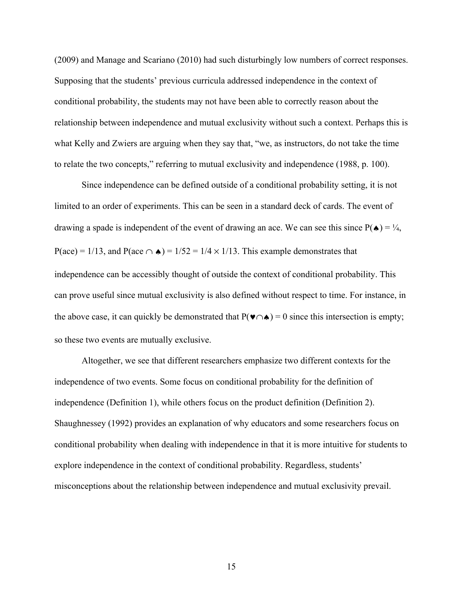(2009) and Manage and Scariano (2010) had such disturbingly low numbers of correct responses. Supposing that the students' previous curricula addressed independence in the context of conditional probability, the students may not have been able to correctly reason about the relationship between independence and mutual exclusivity without such a context. Perhaps this is what Kelly and Zwiers are arguing when they say that, "we, as instructors, do not take the time to relate the two concepts," referring to mutual exclusivity and independence (1988, p. 100).

Since independence can be defined outside of a conditional probability setting, it is not limited to an order of experiments. This can be seen in a standard deck of cards. The event of drawing a spade is independent of the event of drawing an ace. We can see this since  $P(\triangle) = \frac{1}{4}$ , P(ace) = 1/13, and P(ace  $\cap \bullet$ ) = 1/52 = 1/4 × 1/13. This example demonstrates that independence can be accessibly thought of outside the context of conditional probability. This can prove useful since mutual exclusivity is also defined without respect to time. For instance, in the above case, it can quickly be demonstrated that  $P(\blacktriangleright \cap \blacktriangle) = 0$  since this intersection is empty; so these two events are mutually exclusive.

Altogether, we see that different researchers emphasize two different contexts for the independence of two events. Some focus on conditional probability for the definition of independence (Definition 1), while others focus on the product definition (Definition 2). Shaughnessey (1992) provides an explanation of why educators and some researchers focus on conditional probability when dealing with independence in that it is more intuitive for students to explore independence in the context of conditional probability. Regardless, students' misconceptions about the relationship between independence and mutual exclusivity prevail.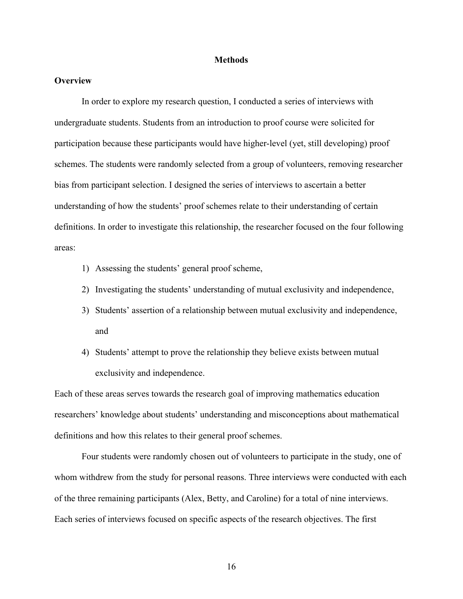## **Methods**

# **Overview**

In order to explore my research question, I conducted a series of interviews with undergraduate students. Students from an introduction to proof course were solicited for participation because these participants would have higher-level (yet, still developing) proof schemes. The students were randomly selected from a group of volunteers, removing researcher bias from participant selection. I designed the series of interviews to ascertain a better understanding of how the students' proof schemes relate to their understanding of certain definitions. In order to investigate this relationship, the researcher focused on the four following areas:

- 1) Assessing the students' general proof scheme,
- 2) Investigating the students' understanding of mutual exclusivity and independence,
- 3) Students' assertion of a relationship between mutual exclusivity and independence, and
- 4) Students' attempt to prove the relationship they believe exists between mutual exclusivity and independence.

Each of these areas serves towards the research goal of improving mathematics education researchers' knowledge about students' understanding and misconceptions about mathematical definitions and how this relates to their general proof schemes.

Four students were randomly chosen out of volunteers to participate in the study, one of whom withdrew from the study for personal reasons. Three interviews were conducted with each of the three remaining participants (Alex, Betty, and Caroline) for a total of nine interviews. Each series of interviews focused on specific aspects of the research objectives. The first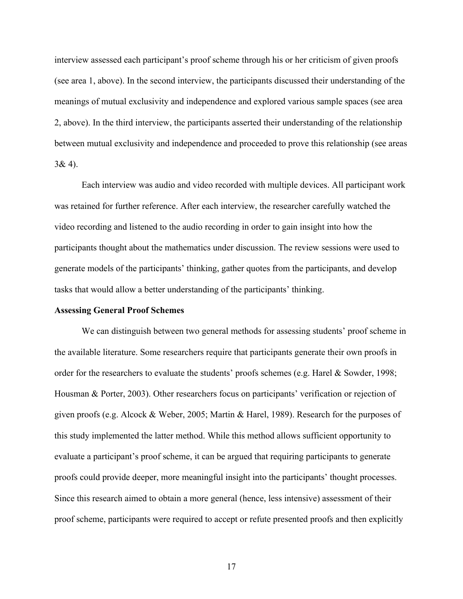interview assessed each participant's proof scheme through his or her criticism of given proofs (see area 1, above). In the second interview, the participants discussed their understanding of the meanings of mutual exclusivity and independence and explored various sample spaces (see area 2, above). In the third interview, the participants asserted their understanding of the relationship between mutual exclusivity and independence and proceeded to prove this relationship (see areas  $3&4$ ).

Each interview was audio and video recorded with multiple devices. All participant work was retained for further reference. After each interview, the researcher carefully watched the video recording and listened to the audio recording in order to gain insight into how the participants thought about the mathematics under discussion. The review sessions were used to generate models of the participants' thinking, gather quotes from the participants, and develop tasks that would allow a better understanding of the participants' thinking.

#### **Assessing General Proof Schemes**

We can distinguish between two general methods for assessing students' proof scheme in the available literature. Some researchers require that participants generate their own proofs in order for the researchers to evaluate the students' proofs schemes (e.g. Harel & Sowder, 1998; Housman & Porter, 2003). Other researchers focus on participants' verification or rejection of given proofs (e.g. Alcock & Weber, 2005; Martin & Harel, 1989). Research for the purposes of this study implemented the latter method. While this method allows sufficient opportunity to evaluate a participant's proof scheme, it can be argued that requiring participants to generate proofs could provide deeper, more meaningful insight into the participants' thought processes. Since this research aimed to obtain a more general (hence, less intensive) assessment of their proof scheme, participants were required to accept or refute presented proofs and then explicitly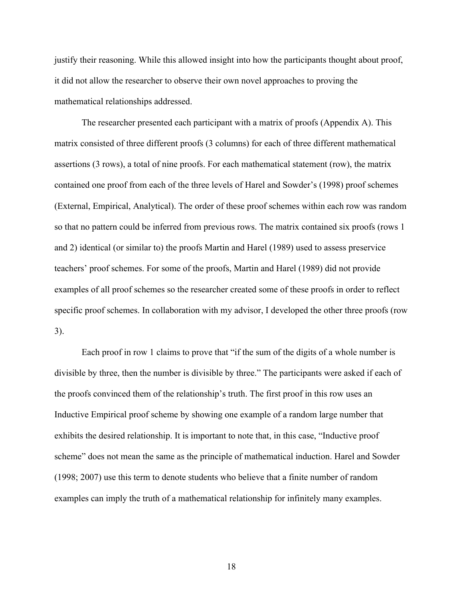justify their reasoning. While this allowed insight into how the participants thought about proof, it did not allow the researcher to observe their own novel approaches to proving the mathematical relationships addressed.

The researcher presented each participant with a matrix of proofs (Appendix A). This matrix consisted of three different proofs (3 columns) for each of three different mathematical assertions (3 rows), a total of nine proofs. For each mathematical statement (row), the matrix contained one proof from each of the three levels of Harel and Sowder's (1998) proof schemes (External, Empirical, Analytical). The order of these proof schemes within each row was random so that no pattern could be inferred from previous rows. The matrix contained six proofs (rows 1 and 2) identical (or similar to) the proofs Martin and Harel (1989) used to assess preservice teachers' proof schemes. For some of the proofs, Martin and Harel (1989) did not provide examples of all proof schemes so the researcher created some of these proofs in order to reflect specific proof schemes. In collaboration with my advisor, I developed the other three proofs (row 3).

Each proof in row 1 claims to prove that "if the sum of the digits of a whole number is divisible by three, then the number is divisible by three." The participants were asked if each of the proofs convinced them of the relationship's truth. The first proof in this row uses an Inductive Empirical proof scheme by showing one example of a random large number that exhibits the desired relationship. It is important to note that, in this case, "Inductive proof scheme" does not mean the same as the principle of mathematical induction. Harel and Sowder (1998; 2007) use this term to denote students who believe that a finite number of random examples can imply the truth of a mathematical relationship for infinitely many examples.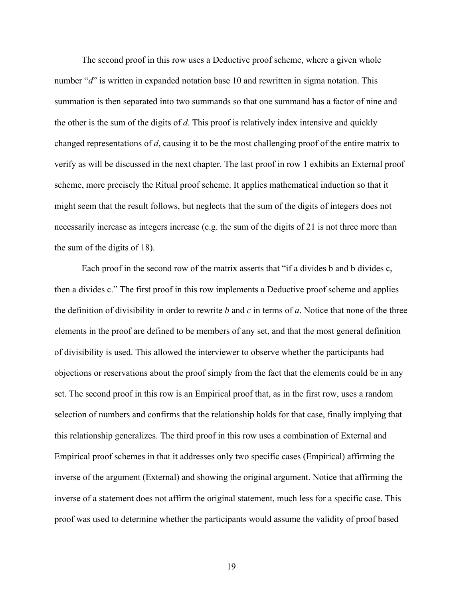The second proof in this row uses a Deductive proof scheme, where a given whole number "*d*" is written in expanded notation base 10 and rewritten in sigma notation. This summation is then separated into two summands so that one summand has a factor of nine and the other is the sum of the digits of *d*. This proof is relatively index intensive and quickly changed representations of *d*, causing it to be the most challenging proof of the entire matrix to verify as will be discussed in the next chapter. The last proof in row 1 exhibits an External proof scheme, more precisely the Ritual proof scheme. It applies mathematical induction so that it might seem that the result follows, but neglects that the sum of the digits of integers does not necessarily increase as integers increase (e.g. the sum of the digits of 21 is not three more than the sum of the digits of 18).

Each proof in the second row of the matrix asserts that "if a divides b and b divides c, then a divides c." The first proof in this row implements a Deductive proof scheme and applies the definition of divisibility in order to rewrite *b* and *c* in terms of *a*. Notice that none of the three elements in the proof are defined to be members of any set, and that the most general definition of divisibility is used. This allowed the interviewer to observe whether the participants had objections or reservations about the proof simply from the fact that the elements could be in any set. The second proof in this row is an Empirical proof that, as in the first row, uses a random selection of numbers and confirms that the relationship holds for that case, finally implying that this relationship generalizes. The third proof in this row uses a combination of External and Empirical proof schemes in that it addresses only two specific cases (Empirical) affirming the inverse of the argument (External) and showing the original argument. Notice that affirming the inverse of a statement does not affirm the original statement, much less for a specific case. This proof was used to determine whether the participants would assume the validity of proof based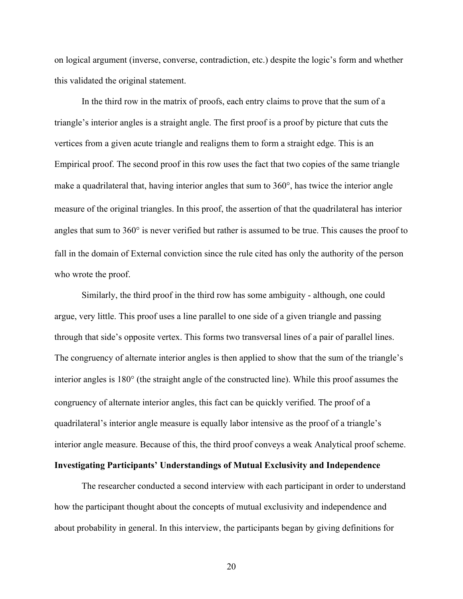on logical argument (inverse, converse, contradiction, etc.) despite the logic's form and whether this validated the original statement.

In the third row in the matrix of proofs, each entry claims to prove that the sum of a triangle's interior angles is a straight angle. The first proof is a proof by picture that cuts the vertices from a given acute triangle and realigns them to form a straight edge. This is an Empirical proof. The second proof in this row uses the fact that two copies of the same triangle make a quadrilateral that, having interior angles that sum to 360°, has twice the interior angle measure of the original triangles. In this proof, the assertion of that the quadrilateral has interior angles that sum to 360° is never verified but rather is assumed to be true. This causes the proof to fall in the domain of External conviction since the rule cited has only the authority of the person who wrote the proof.

Similarly, the third proof in the third row has some ambiguity - although, one could argue, very little. This proof uses a line parallel to one side of a given triangle and passing through that side's opposite vertex. This forms two transversal lines of a pair of parallel lines. The congruency of alternate interior angles is then applied to show that the sum of the triangle's interior angles is 180° (the straight angle of the constructed line). While this proof assumes the congruency of alternate interior angles, this fact can be quickly verified. The proof of a quadrilateral's interior angle measure is equally labor intensive as the proof of a triangle's interior angle measure. Because of this, the third proof conveys a weak Analytical proof scheme.

# **Investigating Participants' Understandings of Mutual Exclusivity and Independence**

The researcher conducted a second interview with each participant in order to understand how the participant thought about the concepts of mutual exclusivity and independence and about probability in general. In this interview, the participants began by giving definitions for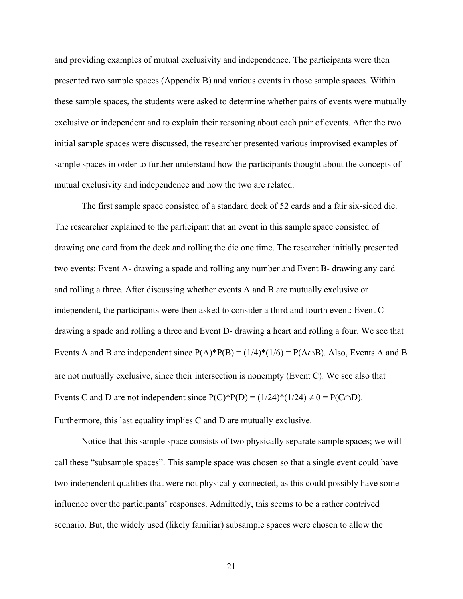and providing examples of mutual exclusivity and independence. The participants were then presented two sample spaces (Appendix B) and various events in those sample spaces. Within these sample spaces, the students were asked to determine whether pairs of events were mutually exclusive or independent and to explain their reasoning about each pair of events. After the two initial sample spaces were discussed, the researcher presented various improvised examples of sample spaces in order to further understand how the participants thought about the concepts of mutual exclusivity and independence and how the two are related.

The first sample space consisted of a standard deck of 52 cards and a fair six-sided die. The researcher explained to the participant that an event in this sample space consisted of drawing one card from the deck and rolling the die one time. The researcher initially presented two events: Event A- drawing a spade and rolling any number and Event B- drawing any card and rolling a three. After discussing whether events A and B are mutually exclusive or independent, the participants were then asked to consider a third and fourth event: Event Cdrawing a spade and rolling a three and Event D- drawing a heart and rolling a four. We see that Events A and B are independent since  $P(A)^*P(B) = (1/4)^*(1/6) = P(A \cap B)$ . Also, Events A and B are not mutually exclusive, since their intersection is nonempty (Event C). We see also that Events C and D are not independent since  $P(C)*P(D) = (1/24)*(1/24) \neq 0 = P(C \cap D)$ . Furthermore, this last equality implies C and D are mutually exclusive.

Notice that this sample space consists of two physically separate sample spaces; we will call these "subsample spaces". This sample space was chosen so that a single event could have two independent qualities that were not physically connected, as this could possibly have some influence over the participants' responses. Admittedly, this seems to be a rather contrived scenario. But, the widely used (likely familiar) subsample spaces were chosen to allow the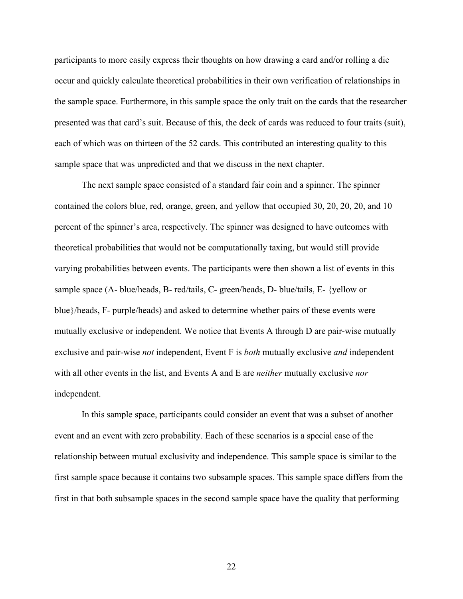participants to more easily express their thoughts on how drawing a card and/or rolling a die occur and quickly calculate theoretical probabilities in their own verification of relationships in the sample space. Furthermore, in this sample space the only trait on the cards that the researcher presented was that card's suit. Because of this, the deck of cards was reduced to four traits (suit), each of which was on thirteen of the 52 cards. This contributed an interesting quality to this sample space that was unpredicted and that we discuss in the next chapter.

The next sample space consisted of a standard fair coin and a spinner. The spinner contained the colors blue, red, orange, green, and yellow that occupied 30, 20, 20, 20, and 10 percent of the spinner's area, respectively. The spinner was designed to have outcomes with theoretical probabilities that would not be computationally taxing, but would still provide varying probabilities between events. The participants were then shown a list of events in this sample space (A- blue/heads, B- red/tails, C- green/heads, D- blue/tails, E- {yellow or blue}/heads, F- purple/heads) and asked to determine whether pairs of these events were mutually exclusive or independent. We notice that Events A through D are pair-wise mutually exclusive and pair-wise *not* independent, Event F is *both* mutually exclusive *and* independent with all other events in the list, and Events A and E are *neither* mutually exclusive *nor* independent.

In this sample space, participants could consider an event that was a subset of another event and an event with zero probability. Each of these scenarios is a special case of the relationship between mutual exclusivity and independence. This sample space is similar to the first sample space because it contains two subsample spaces. This sample space differs from the first in that both subsample spaces in the second sample space have the quality that performing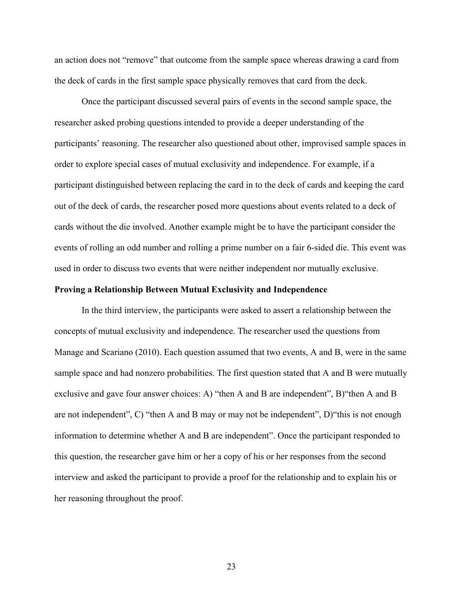an action does not "remove" that outcome from the sample space whereas drawing a card from the deck of cards in the first sample space physically removes that card from the deck.

Once the participant discussed several pairs of events in the second sample space, the researcher asked probing questions intended to provide a deeper understanding of the participants' reasoning. The researcher also questioned about other, improvised sample spaces in order to explore special cases of mutual exclusivity and independence. For example, if a participant distinguished between replacing the card in to the deck of cards and keeping the card out of the deck of cards, the researcher posed more questions about events related to a deck of cards without the die involved. Another example might be to have the participant consider the events of rolling an odd number and rolling a prime number on a fair 6-sided die. This event was used in order to discuss two events that were neither independent nor mutually exclusive.

## **Proving a Relationship Between Mutual Exclusivity and Independence**

In the third interview, the participants were asked to assert a relationship between the concepts of mutual exclusivity and independence. The researcher used the questions from Manage and Scariano (2010). Each question assumed that two events, A and B, were in the same sample space and had nonzero probabilities. The first question stated that A and B were mutually exclusive and gave four answer choices: A) "then A and B are independent", B)"then A and B are not independent", C) "then A and B may or may not be independent", D)"this is not enough information to determine whether A and B are independent". Once the participant responded to this question, the researcher gave him or her a copy of his or her responses from the second interview and asked the participant to provide a proof for the relationship and to explain his or her reasoning throughout the proof.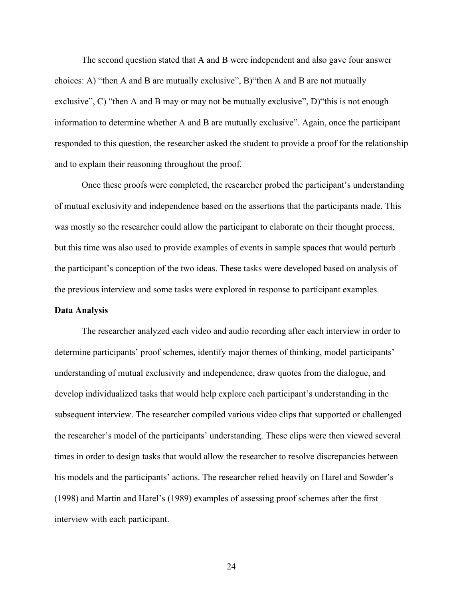The second question stated that A and B were independent and also gave four answer choices: A) "then A and B are mutually exclusive", B)"then A and B are not mutually exclusive", C) "then A and B may or may not be mutually exclusive", D) "this is not enough information to determine whether A and B are mutually exclusive". Again, once the participant responded to this question, the researcher asked the student to provide a proof for the relationship and to explain their reasoning throughout the proof.

Once these proofs were completed, the researcher probed the participant's understanding of mutual exclusivity and independence based on the assertions that the participants made. This was mostly so the researcher could allow the participant to elaborate on their thought process, but this time was also used to provide examples of events in sample spaces that would perturb the participant's conception of the two ideas. These tasks were developed based on analysis of the previous interview and some tasks were explored in response to participant examples.

## **Data Analysis**

The researcher analyzed each video and audio recording after each interview in order to determine participants' proof schemes, identify major themes of thinking, model participants' understanding of mutual exclusivity and independence, draw quotes from the dialogue, and develop individualized tasks that would help explore each participant's understanding in the subsequent interview. The researcher compiled various video clips that supported or challenged the researcher's model of the participants' understanding. These clips were then viewed several times in order to design tasks that would allow the researcher to resolve discrepancies between his models and the participants' actions. The researcher relied heavily on Harel and Sowder's (1998) and Martin and Harel's (1989) examples of assessing proof schemes after the first interview with each participant.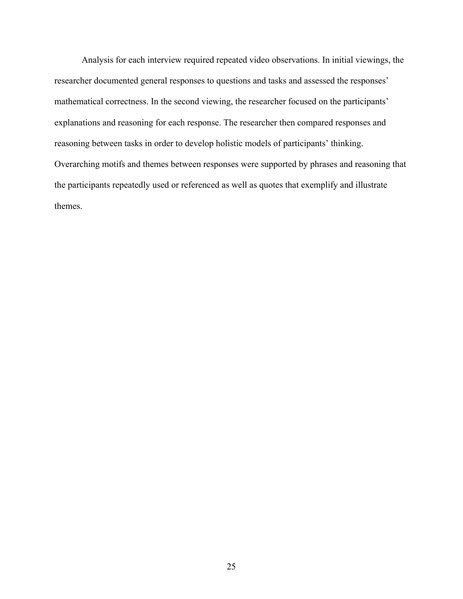Analysis for each interview required repeated video observations. In initial viewings, the researcher documented general responses to questions and tasks and assessed the responses' mathematical correctness. In the second viewing, the researcher focused on the participants' explanations and reasoning for each response. The researcher then compared responses and reasoning between tasks in order to develop holistic models of participants' thinking. Overarching motifs and themes between responses were supported by phrases and reasoning that the participants repeatedly used or referenced as well as quotes that exemplify and illustrate themes.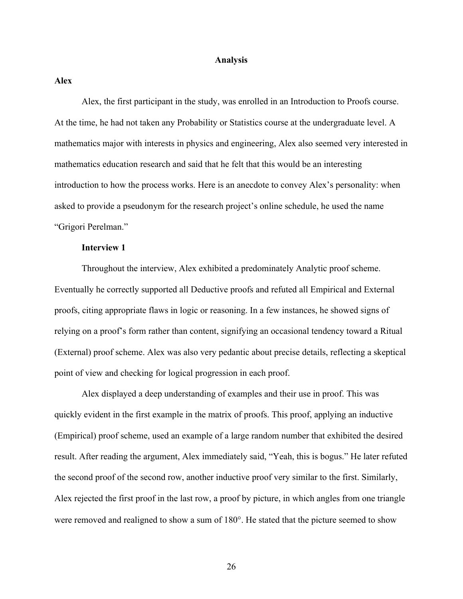## **Analysis**

**Alex**

Alex, the first participant in the study, was enrolled in an Introduction to Proofs course. At the time, he had not taken any Probability or Statistics course at the undergraduate level. A mathematics major with interests in physics and engineering, Alex also seemed very interested in mathematics education research and said that he felt that this would be an interesting introduction to how the process works. Here is an anecdote to convey Alex's personality: when asked to provide a pseudonym for the research project's online schedule, he used the name "Grigori Perelman."

# **Interview 1**

Throughout the interview, Alex exhibited a predominately Analytic proof scheme. Eventually he correctly supported all Deductive proofs and refuted all Empirical and External proofs, citing appropriate flaws in logic or reasoning. In a few instances, he showed signs of relying on a proof's form rather than content, signifying an occasional tendency toward a Ritual (External) proof scheme. Alex was also very pedantic about precise details, reflecting a skeptical point of view and checking for logical progression in each proof.

Alex displayed a deep understanding of examples and their use in proof. This was quickly evident in the first example in the matrix of proofs. This proof, applying an inductive (Empirical) proof scheme, used an example of a large random number that exhibited the desired result. After reading the argument, Alex immediately said, "Yeah, this is bogus." He later refuted the second proof of the second row, another inductive proof very similar to the first. Similarly, Alex rejected the first proof in the last row, a proof by picture, in which angles from one triangle were removed and realigned to show a sum of 180°. He stated that the picture seemed to show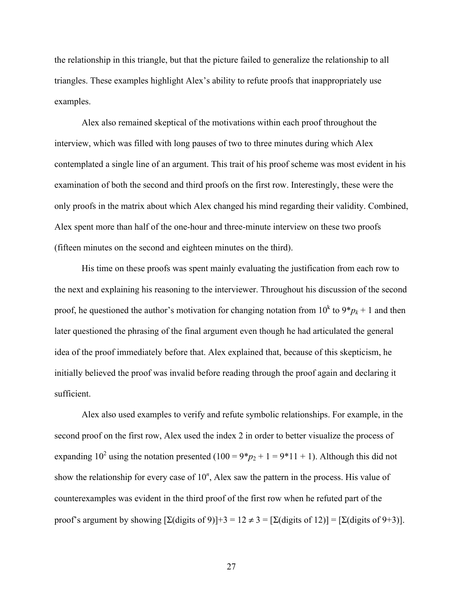the relationship in this triangle, but that the picture failed to generalize the relationship to all triangles. These examples highlight Alex's ability to refute proofs that inappropriately use examples.

Alex also remained skeptical of the motivations within each proof throughout the interview, which was filled with long pauses of two to three minutes during which Alex contemplated a single line of an argument. This trait of his proof scheme was most evident in his examination of both the second and third proofs on the first row. Interestingly, these were the only proofs in the matrix about which Alex changed his mind regarding their validity. Combined, Alex spent more than half of the one-hour and three-minute interview on these two proofs (fifteen minutes on the second and eighteen minutes on the third).

His time on these proofs was spent mainly evaluating the justification from each row to the next and explaining his reasoning to the interviewer. Throughout his discussion of the second proof, he questioned the author's motivation for changing notation from  $10^k$  to  $9 * p_k + 1$  and then later questioned the phrasing of the final argument even though he had articulated the general idea of the proof immediately before that. Alex explained that, because of this skepticism, he initially believed the proof was invalid before reading through the proof again and declaring it sufficient.

Alex also used examples to verify and refute symbolic relationships. For example, in the second proof on the first row, Alex used the index 2 in order to better visualize the process of expanding 10<sup>2</sup> using the notation presented  $(100 = 9 * p<sub>2</sub> + 1 = 9 * 11 + 1)$ . Although this did not show the relationship for every case of 10*<sup>n</sup>* , Alex saw the pattern in the process. His value of counterexamples was evident in the third proof of the first row when he refuted part of the proof's argument by showing  $[\Sigma(\text{digits of 9})]+3 = 12 \neq 3 = [\Sigma(\text{digits of 12})] = [\Sigma(\text{digits of 9+3})]$ .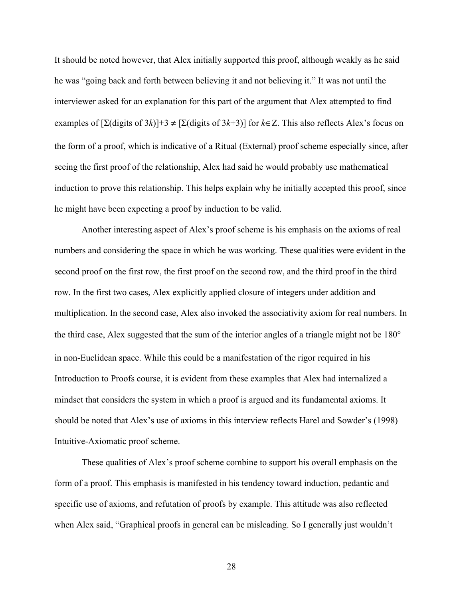It should be noted however, that Alex initially supported this proof, although weakly as he said he was "going back and forth between believing it and not believing it." It was not until the interviewer asked for an explanation for this part of the argument that Alex attempted to find examples of  $[\Sigma(\text{digits of }3k)]+3 \neq [\Sigma(\text{digits of }3k+3)]$  for  $k \in \mathbb{Z}$ . This also reflects Alex's focus on the form of a proof, which is indicative of a Ritual (External) proof scheme especially since, after seeing the first proof of the relationship, Alex had said he would probably use mathematical induction to prove this relationship. This helps explain why he initially accepted this proof, since he might have been expecting a proof by induction to be valid.

Another interesting aspect of Alex's proof scheme is his emphasis on the axioms of real numbers and considering the space in which he was working. These qualities were evident in the second proof on the first row, the first proof on the second row, and the third proof in the third row. In the first two cases, Alex explicitly applied closure of integers under addition and multiplication. In the second case, Alex also invoked the associativity axiom for real numbers. In the third case, Alex suggested that the sum of the interior angles of a triangle might not be 180° in non-Euclidean space. While this could be a manifestation of the rigor required in his Introduction to Proofs course, it is evident from these examples that Alex had internalized a mindset that considers the system in which a proof is argued and its fundamental axioms. It should be noted that Alex's use of axioms in this interview reflects Harel and Sowder's (1998) Intuitive-Axiomatic proof scheme.

These qualities of Alex's proof scheme combine to support his overall emphasis on the form of a proof. This emphasis is manifested in his tendency toward induction, pedantic and specific use of axioms, and refutation of proofs by example. This attitude was also reflected when Alex said, "Graphical proofs in general can be misleading. So I generally just wouldn't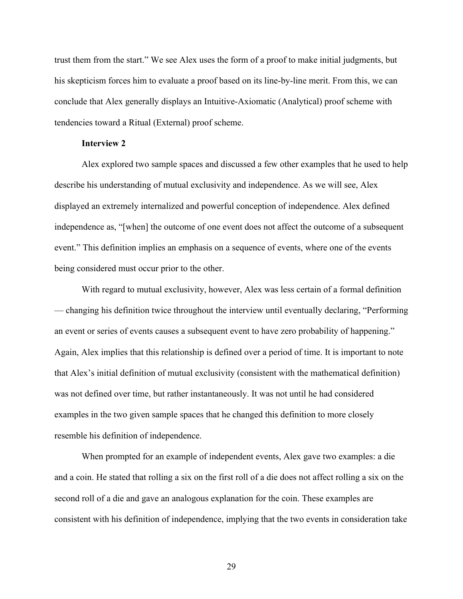trust them from the start." We see Alex uses the form of a proof to make initial judgments, but his skepticism forces him to evaluate a proof based on its line-by-line merit. From this, we can conclude that Alex generally displays an Intuitive-Axiomatic (Analytical) proof scheme with tendencies toward a Ritual (External) proof scheme.

## **Interview 2**

Alex explored two sample spaces and discussed a few other examples that he used to help describe his understanding of mutual exclusivity and independence. As we will see, Alex displayed an extremely internalized and powerful conception of independence. Alex defined independence as, "[when] the outcome of one event does not affect the outcome of a subsequent event." This definition implies an emphasis on a sequence of events, where one of the events being considered must occur prior to the other.

With regard to mutual exclusivity, however, Alex was less certain of a formal definition — changing his definition twice throughout the interview until eventually declaring, "Performing an event or series of events causes a subsequent event to have zero probability of happening." Again, Alex implies that this relationship is defined over a period of time. It is important to note that Alex's initial definition of mutual exclusivity (consistent with the mathematical definition) was not defined over time, but rather instantaneously. It was not until he had considered examples in the two given sample spaces that he changed this definition to more closely resemble his definition of independence.

When prompted for an example of independent events, Alex gave two examples: a die and a coin. He stated that rolling a six on the first roll of a die does not affect rolling a six on the second roll of a die and gave an analogous explanation for the coin. These examples are consistent with his definition of independence, implying that the two events in consideration take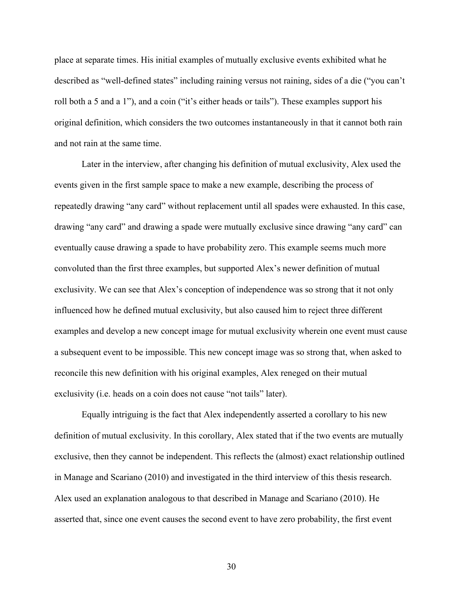place at separate times. His initial examples of mutually exclusive events exhibited what he described as "well-defined states" including raining versus not raining, sides of a die ("you can't roll both a 5 and a 1"), and a coin ("it's either heads or tails"). These examples support his original definition, which considers the two outcomes instantaneously in that it cannot both rain and not rain at the same time.

Later in the interview, after changing his definition of mutual exclusivity, Alex used the events given in the first sample space to make a new example, describing the process of repeatedly drawing "any card" without replacement until all spades were exhausted. In this case, drawing "any card" and drawing a spade were mutually exclusive since drawing "any card" can eventually cause drawing a spade to have probability zero. This example seems much more convoluted than the first three examples, but supported Alex's newer definition of mutual exclusivity. We can see that Alex's conception of independence was so strong that it not only influenced how he defined mutual exclusivity, but also caused him to reject three different examples and develop a new concept image for mutual exclusivity wherein one event must cause a subsequent event to be impossible. This new concept image was so strong that, when asked to reconcile this new definition with his original examples, Alex reneged on their mutual exclusivity (i.e. heads on a coin does not cause "not tails" later).

Equally intriguing is the fact that Alex independently asserted a corollary to his new definition of mutual exclusivity. In this corollary, Alex stated that if the two events are mutually exclusive, then they cannot be independent. This reflects the (almost) exact relationship outlined in Manage and Scariano (2010) and investigated in the third interview of this thesis research. Alex used an explanation analogous to that described in Manage and Scariano (2010). He asserted that, since one event causes the second event to have zero probability, the first event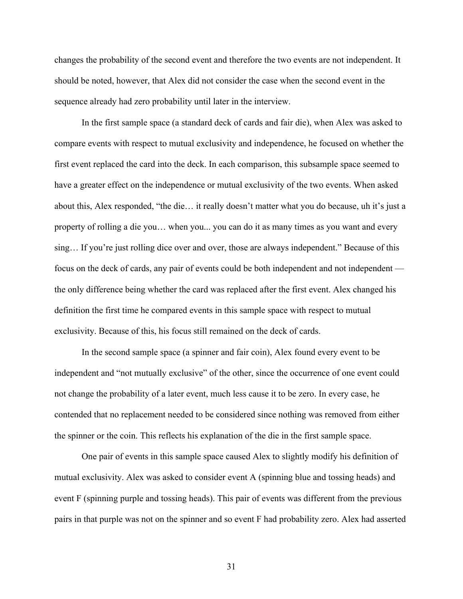changes the probability of the second event and therefore the two events are not independent. It should be noted, however, that Alex did not consider the case when the second event in the sequence already had zero probability until later in the interview.

In the first sample space (a standard deck of cards and fair die), when Alex was asked to compare events with respect to mutual exclusivity and independence, he focused on whether the first event replaced the card into the deck. In each comparison, this subsample space seemed to have a greater effect on the independence or mutual exclusivity of the two events. When asked about this, Alex responded, "the die… it really doesn't matter what you do because, uh it's just a property of rolling a die you… when you... you can do it as many times as you want and every sing… If you're just rolling dice over and over, those are always independent." Because of this focus on the deck of cards, any pair of events could be both independent and not independent the only difference being whether the card was replaced after the first event. Alex changed his definition the first time he compared events in this sample space with respect to mutual exclusivity. Because of this, his focus still remained on the deck of cards.

In the second sample space (a spinner and fair coin), Alex found every event to be independent and "not mutually exclusive" of the other, since the occurrence of one event could not change the probability of a later event, much less cause it to be zero. In every case, he contended that no replacement needed to be considered since nothing was removed from either the spinner or the coin. This reflects his explanation of the die in the first sample space.

One pair of events in this sample space caused Alex to slightly modify his definition of mutual exclusivity. Alex was asked to consider event A (spinning blue and tossing heads) and event F (spinning purple and tossing heads). This pair of events was different from the previous pairs in that purple was not on the spinner and so event F had probability zero. Alex had asserted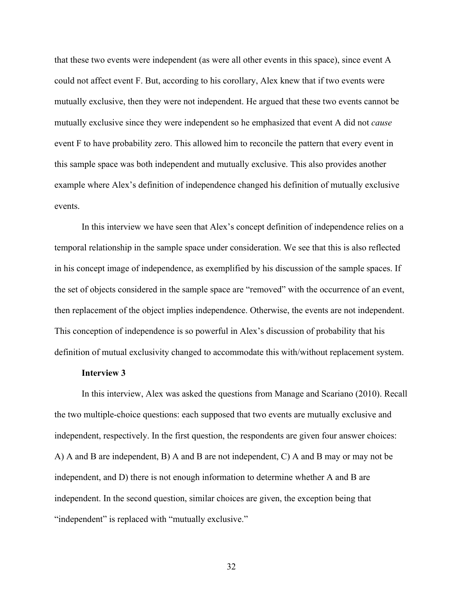that these two events were independent (as were all other events in this space), since event A could not affect event F. But, according to his corollary, Alex knew that if two events were mutually exclusive, then they were not independent. He argued that these two events cannot be mutually exclusive since they were independent so he emphasized that event A did not *cause* event F to have probability zero. This allowed him to reconcile the pattern that every event in this sample space was both independent and mutually exclusive. This also provides another example where Alex's definition of independence changed his definition of mutually exclusive events.

In this interview we have seen that Alex's concept definition of independence relies on a temporal relationship in the sample space under consideration. We see that this is also reflected in his concept image of independence, as exemplified by his discussion of the sample spaces. If the set of objects considered in the sample space are "removed" with the occurrence of an event, then replacement of the object implies independence. Otherwise, the events are not independent. This conception of independence is so powerful in Alex's discussion of probability that his definition of mutual exclusivity changed to accommodate this with/without replacement system.

## **Interview 3**

In this interview, Alex was asked the questions from Manage and Scariano (2010). Recall the two multiple-choice questions: each supposed that two events are mutually exclusive and independent, respectively. In the first question, the respondents are given four answer choices: A) A and B are independent, B) A and B are not independent, C) A and B may or may not be independent, and D) there is not enough information to determine whether A and B are independent. In the second question, similar choices are given, the exception being that "independent" is replaced with "mutually exclusive."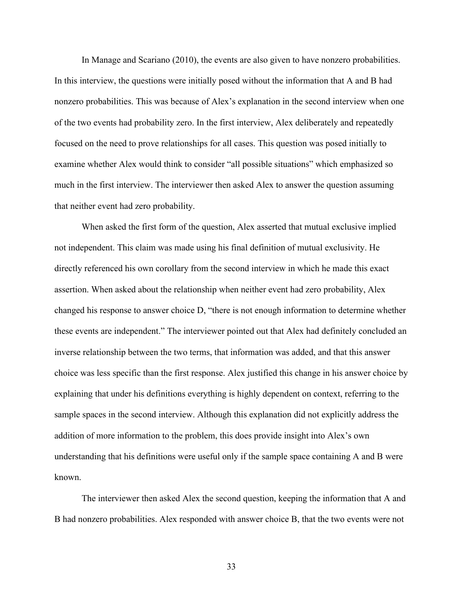In Manage and Scariano (2010), the events are also given to have nonzero probabilities. In this interview, the questions were initially posed without the information that A and B had nonzero probabilities. This was because of Alex's explanation in the second interview when one of the two events had probability zero. In the first interview, Alex deliberately and repeatedly focused on the need to prove relationships for all cases. This question was posed initially to examine whether Alex would think to consider "all possible situations" which emphasized so much in the first interview. The interviewer then asked Alex to answer the question assuming that neither event had zero probability.

When asked the first form of the question, Alex asserted that mutual exclusive implied not independent. This claim was made using his final definition of mutual exclusivity. He directly referenced his own corollary from the second interview in which he made this exact assertion. When asked about the relationship when neither event had zero probability, Alex changed his response to answer choice D, "there is not enough information to determine whether these events are independent." The interviewer pointed out that Alex had definitely concluded an inverse relationship between the two terms, that information was added, and that this answer choice was less specific than the first response. Alex justified this change in his answer choice by explaining that under his definitions everything is highly dependent on context, referring to the sample spaces in the second interview. Although this explanation did not explicitly address the addition of more information to the problem, this does provide insight into Alex's own understanding that his definitions were useful only if the sample space containing A and B were known.

The interviewer then asked Alex the second question, keeping the information that A and B had nonzero probabilities. Alex responded with answer choice B, that the two events were not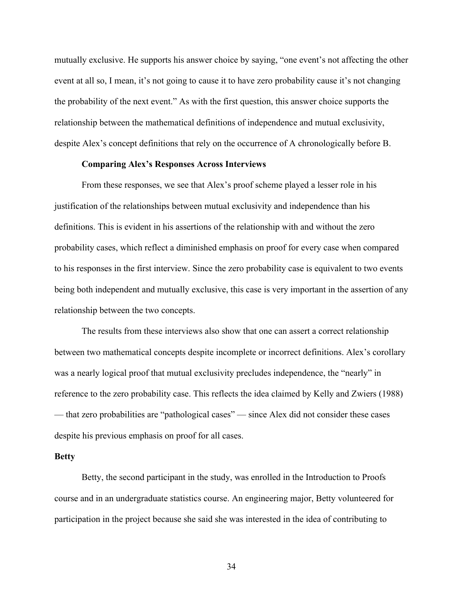mutually exclusive. He supports his answer choice by saying, "one event's not affecting the other event at all so, I mean, it's not going to cause it to have zero probability cause it's not changing the probability of the next event." As with the first question, this answer choice supports the relationship between the mathematical definitions of independence and mutual exclusivity, despite Alex's concept definitions that rely on the occurrence of A chronologically before B.

# **Comparing Alex's Responses Across Interviews**

From these responses, we see that Alex's proof scheme played a lesser role in his justification of the relationships between mutual exclusivity and independence than his definitions. This is evident in his assertions of the relationship with and without the zero probability cases, which reflect a diminished emphasis on proof for every case when compared to his responses in the first interview. Since the zero probability case is equivalent to two events being both independent and mutually exclusive, this case is very important in the assertion of any relationship between the two concepts.

The results from these interviews also show that one can assert a correct relationship between two mathematical concepts despite incomplete or incorrect definitions. Alex's corollary was a nearly logical proof that mutual exclusivity precludes independence, the "nearly" in reference to the zero probability case. This reflects the idea claimed by Kelly and Zwiers (1988) — that zero probabilities are "pathological cases" — since Alex did not consider these cases despite his previous emphasis on proof for all cases.

#### **Betty**

Betty, the second participant in the study, was enrolled in the Introduction to Proofs course and in an undergraduate statistics course. An engineering major, Betty volunteered for participation in the project because she said she was interested in the idea of contributing to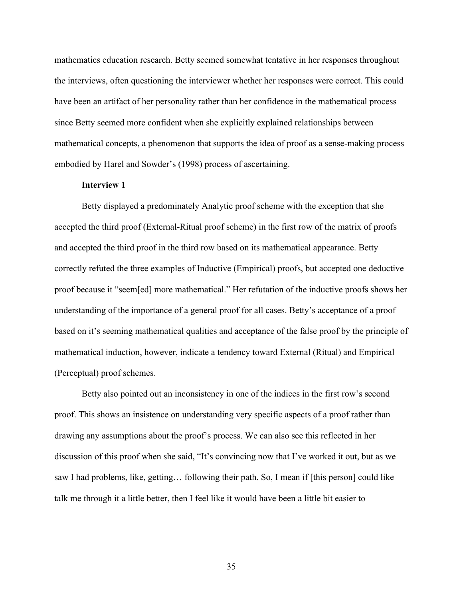mathematics education research. Betty seemed somewhat tentative in her responses throughout the interviews, often questioning the interviewer whether her responses were correct. This could have been an artifact of her personality rather than her confidence in the mathematical process since Betty seemed more confident when she explicitly explained relationships between mathematical concepts, a phenomenon that supports the idea of proof as a sense-making process embodied by Harel and Sowder's (1998) process of ascertaining.

# **Interview 1**

Betty displayed a predominately Analytic proof scheme with the exception that she accepted the third proof (External-Ritual proof scheme) in the first row of the matrix of proofs and accepted the third proof in the third row based on its mathematical appearance. Betty correctly refuted the three examples of Inductive (Empirical) proofs, but accepted one deductive proof because it "seem[ed] more mathematical." Her refutation of the inductive proofs shows her understanding of the importance of a general proof for all cases. Betty's acceptance of a proof based on it's seeming mathematical qualities and acceptance of the false proof by the principle of mathematical induction, however, indicate a tendency toward External (Ritual) and Empirical (Perceptual) proof schemes.

Betty also pointed out an inconsistency in one of the indices in the first row's second proof. This shows an insistence on understanding very specific aspects of a proof rather than drawing any assumptions about the proof's process. We can also see this reflected in her discussion of this proof when she said, "It's convincing now that I've worked it out, but as we saw I had problems, like, getting… following their path. So, I mean if [this person] could like talk me through it a little better, then I feel like it would have been a little bit easier to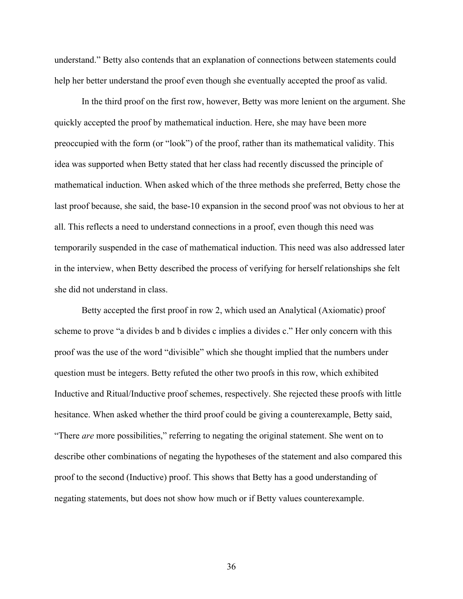understand." Betty also contends that an explanation of connections between statements could help her better understand the proof even though she eventually accepted the proof as valid.

In the third proof on the first row, however, Betty was more lenient on the argument. She quickly accepted the proof by mathematical induction. Here, she may have been more preoccupied with the form (or "look") of the proof, rather than its mathematical validity. This idea was supported when Betty stated that her class had recently discussed the principle of mathematical induction. When asked which of the three methods she preferred, Betty chose the last proof because, she said, the base-10 expansion in the second proof was not obvious to her at all. This reflects a need to understand connections in a proof, even though this need was temporarily suspended in the case of mathematical induction. This need was also addressed later in the interview, when Betty described the process of verifying for herself relationships she felt she did not understand in class.

Betty accepted the first proof in row 2, which used an Analytical (Axiomatic) proof scheme to prove "a divides b and b divides c implies a divides c." Her only concern with this proof was the use of the word "divisible" which she thought implied that the numbers under question must be integers. Betty refuted the other two proofs in this row, which exhibited Inductive and Ritual/Inductive proof schemes, respectively. She rejected these proofs with little hesitance. When asked whether the third proof could be giving a counterexample, Betty said, "There *are* more possibilities," referring to negating the original statement. She went on to describe other combinations of negating the hypotheses of the statement and also compared this proof to the second (Inductive) proof. This shows that Betty has a good understanding of negating statements, but does not show how much or if Betty values counterexample.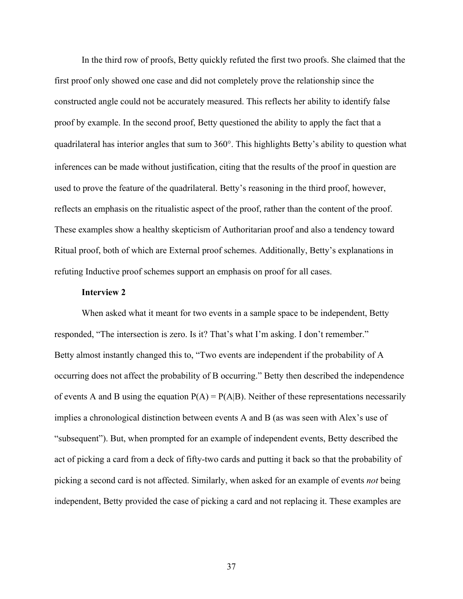In the third row of proofs, Betty quickly refuted the first two proofs. She claimed that the first proof only showed one case and did not completely prove the relationship since the constructed angle could not be accurately measured. This reflects her ability to identify false proof by example. In the second proof, Betty questioned the ability to apply the fact that a quadrilateral has interior angles that sum to 360°. This highlights Betty's ability to question what inferences can be made without justification, citing that the results of the proof in question are used to prove the feature of the quadrilateral. Betty's reasoning in the third proof, however, reflects an emphasis on the ritualistic aspect of the proof, rather than the content of the proof. These examples show a healthy skepticism of Authoritarian proof and also a tendency toward Ritual proof, both of which are External proof schemes. Additionally, Betty's explanations in refuting Inductive proof schemes support an emphasis on proof for all cases.

# **Interview 2**

When asked what it meant for two events in a sample space to be independent, Betty responded, "The intersection is zero. Is it? That's what I'm asking. I don't remember." Betty almost instantly changed this to, "Two events are independent if the probability of A occurring does not affect the probability of B occurring." Betty then described the independence of events A and B using the equation  $P(A) = P(A|B)$ . Neither of these representations necessarily implies a chronological distinction between events A and B (as was seen with Alex's use of "subsequent"). But, when prompted for an example of independent events, Betty described the act of picking a card from a deck of fifty-two cards and putting it back so that the probability of picking a second card is not affected. Similarly, when asked for an example of events *not* being independent, Betty provided the case of picking a card and not replacing it. These examples are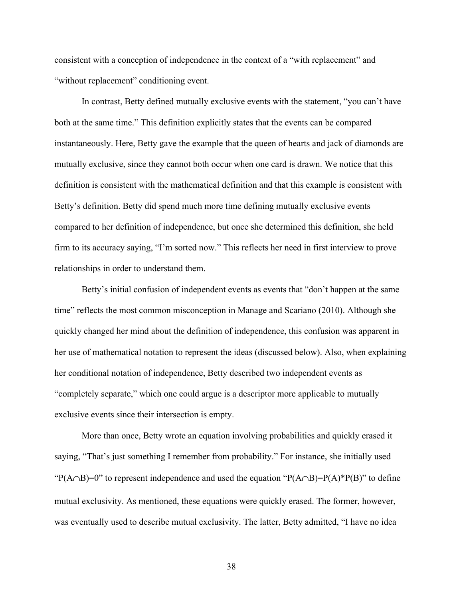consistent with a conception of independence in the context of a "with replacement" and "without replacement" conditioning event.

In contrast, Betty defined mutually exclusive events with the statement, "you can't have both at the same time." This definition explicitly states that the events can be compared instantaneously. Here, Betty gave the example that the queen of hearts and jack of diamonds are mutually exclusive, since they cannot both occur when one card is drawn. We notice that this definition is consistent with the mathematical definition and that this example is consistent with Betty's definition. Betty did spend much more time defining mutually exclusive events compared to her definition of independence, but once she determined this definition, she held firm to its accuracy saying, "I'm sorted now." This reflects her need in first interview to prove relationships in order to understand them.

Betty's initial confusion of independent events as events that "don't happen at the same time" reflects the most common misconception in Manage and Scariano (2010). Although she quickly changed her mind about the definition of independence, this confusion was apparent in her use of mathematical notation to represent the ideas (discussed below). Also, when explaining her conditional notation of independence, Betty described two independent events as "completely separate," which one could argue is a descriptor more applicable to mutually exclusive events since their intersection is empty.

More than once, Betty wrote an equation involving probabilities and quickly erased it saying, "That's just something I remember from probability." For instance, she initially used " $P(A \cap B) = 0$ " to represent independence and used the equation " $P(A \cap B) = P(A) * P(B)$ " to define mutual exclusivity. As mentioned, these equations were quickly erased. The former, however, was eventually used to describe mutual exclusivity. The latter, Betty admitted, "I have no idea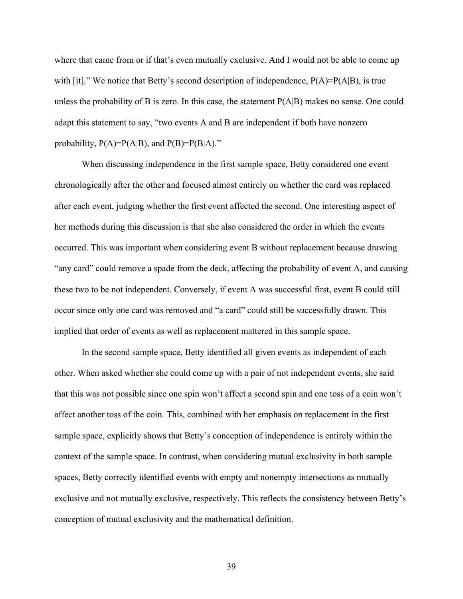where that came from or if that's even mutually exclusive. And I would not be able to come up with [it]." We notice that Betty's second description of independence,  $P(A)=P(A|B)$ , is true unless the probability of B is zero. In this case, the statement P(A|B) makes no sense. One could adapt this statement to say, "two events A and B are independent if both have nonzero probability,  $P(A)=P(A|B)$ , and  $P(B)=P(B|A)$ ."

When discussing independence in the first sample space, Betty considered one event chronologically after the other and focused almost entirely on whether the card was replaced after each event, judging whether the first event affected the second. One interesting aspect of her methods during this discussion is that she also considered the order in which the events occurred. This was important when considering event B without replacement because drawing "any card" could remove a spade from the deck, affecting the probability of event A, and causing these two to be not independent. Conversely, if event A was successful first, event B could still occur since only one card was removed and "a card" could still be successfully drawn. This implied that order of events as well as replacement mattered in this sample space.

In the second sample space, Betty identified all given events as independent of each other. When asked whether she could come up with a pair of not independent events, she said that this was not possible since one spin won't affect a second spin and one toss of a coin won't affect another toss of the coin. This, combined with her emphasis on replacement in the first sample space, explicitly shows that Betty's conception of independence is entirely within the context of the sample space. In contrast, when considering mutual exclusivity in both sample spaces, Betty correctly identified events with empty and nonempty intersections as mutually exclusive and not mutually exclusive, respectively. This reflects the consistency between Betty's conception of mutual exclusivity and the mathematical definition.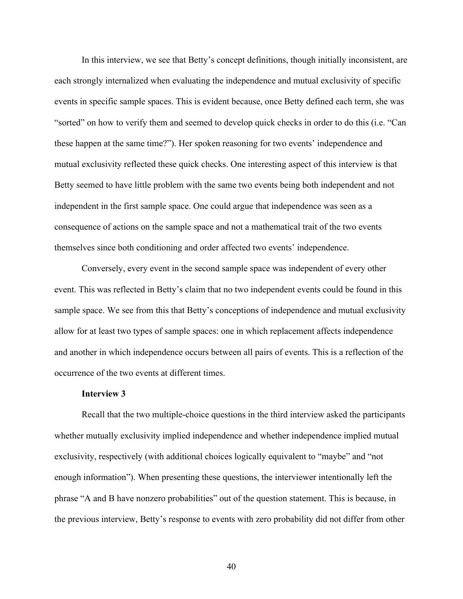In this interview, we see that Betty's concept definitions, though initially inconsistent, are each strongly internalized when evaluating the independence and mutual exclusivity of specific events in specific sample spaces. This is evident because, once Betty defined each term, she was "sorted" on how to verify them and seemed to develop quick checks in order to do this (i.e. "Can these happen at the same time?"). Her spoken reasoning for two events' independence and mutual exclusivity reflected these quick checks. One interesting aspect of this interview is that Betty seemed to have little problem with the same two events being both independent and not independent in the first sample space. One could argue that independence was seen as a consequence of actions on the sample space and not a mathematical trait of the two events themselves since both conditioning and order affected two events' independence.

Conversely, every event in the second sample space was independent of every other event. This was reflected in Betty's claim that no two independent events could be found in this sample space. We see from this that Betty's conceptions of independence and mutual exclusivity allow for at least two types of sample spaces: one in which replacement affects independence and another in which independence occurs between all pairs of events. This is a reflection of the occurrence of the two events at different times.

#### **Interview 3**

Recall that the two multiple-choice questions in the third interview asked the participants whether mutually exclusivity implied independence and whether independence implied mutual exclusivity, respectively (with additional choices logically equivalent to "maybe" and "not enough information"). When presenting these questions, the interviewer intentionally left the phrase "A and B have nonzero probabilities" out of the question statement. This is because, in the previous interview, Betty's response to events with zero probability did not differ from other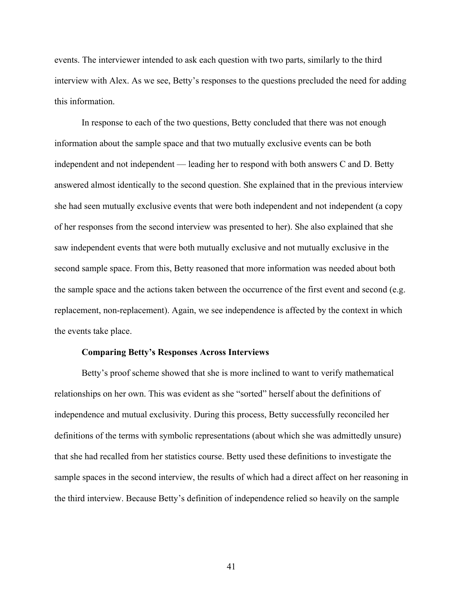events. The interviewer intended to ask each question with two parts, similarly to the third interview with Alex. As we see, Betty's responses to the questions precluded the need for adding this information.

In response to each of the two questions, Betty concluded that there was not enough information about the sample space and that two mutually exclusive events can be both independent and not independent — leading her to respond with both answers C and D. Betty answered almost identically to the second question. She explained that in the previous interview she had seen mutually exclusive events that were both independent and not independent (a copy of her responses from the second interview was presented to her). She also explained that she saw independent events that were both mutually exclusive and not mutually exclusive in the second sample space. From this, Betty reasoned that more information was needed about both the sample space and the actions taken between the occurrence of the first event and second (e.g. replacement, non-replacement). Again, we see independence is affected by the context in which the events take place.

### **Comparing Betty's Responses Across Interviews**

Betty's proof scheme showed that she is more inclined to want to verify mathematical relationships on her own. This was evident as she "sorted" herself about the definitions of independence and mutual exclusivity. During this process, Betty successfully reconciled her definitions of the terms with symbolic representations (about which she was admittedly unsure) that she had recalled from her statistics course. Betty used these definitions to investigate the sample spaces in the second interview, the results of which had a direct affect on her reasoning in the third interview. Because Betty's definition of independence relied so heavily on the sample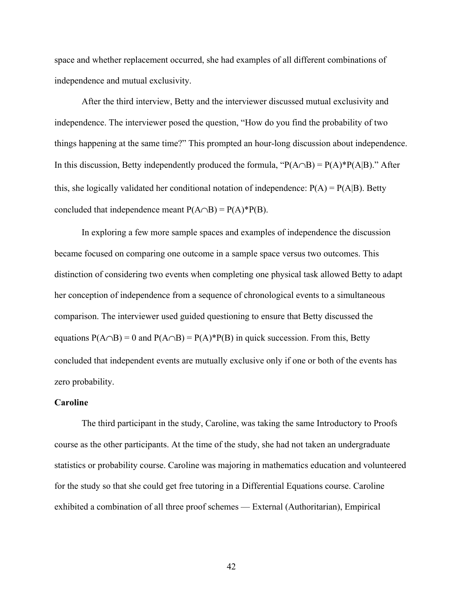space and whether replacement occurred, she had examples of all different combinations of independence and mutual exclusivity.

After the third interview, Betty and the interviewer discussed mutual exclusivity and independence. The interviewer posed the question, "How do you find the probability of two things happening at the same time?" This prompted an hour-long discussion about independence. In this discussion, Betty independently produced the formula, " $P(A \cap B) = P(A) * P(A|B)$ ." After this, she logically validated her conditional notation of independence:  $P(A) = P(A|B)$ . Betty concluded that independence meant  $P(A \cap B) = P(A)*P(B)$ .

In exploring a few more sample spaces and examples of independence the discussion became focused on comparing one outcome in a sample space versus two outcomes. This distinction of considering two events when completing one physical task allowed Betty to adapt her conception of independence from a sequence of chronological events to a simultaneous comparison. The interviewer used guided questioning to ensure that Betty discussed the equations  $P(A \cap B) = 0$  and  $P(A \cap B) = P(A)*P(B)$  in quick succession. From this, Betty concluded that independent events are mutually exclusive only if one or both of the events has zero probability.

## **Caroline**

The third participant in the study, Caroline, was taking the same Introductory to Proofs course as the other participants. At the time of the study, she had not taken an undergraduate statistics or probability course. Caroline was majoring in mathematics education and volunteered for the study so that she could get free tutoring in a Differential Equations course. Caroline exhibited a combination of all three proof schemes — External (Authoritarian), Empirical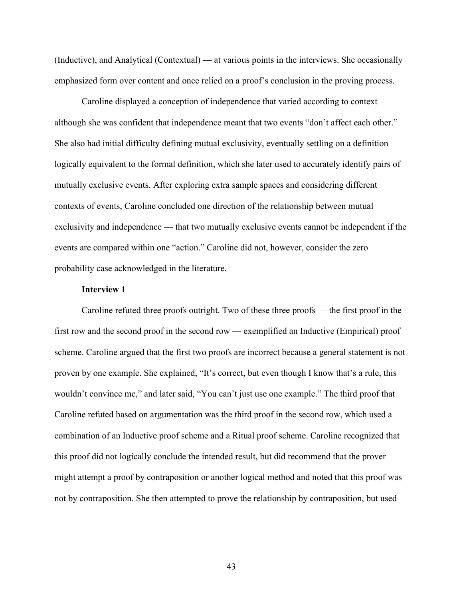(Inductive), and Analytical (Contextual) — at various points in the interviews. She occasionally emphasized form over content and once relied on a proof's conclusion in the proving process.

Caroline displayed a conception of independence that varied according to context although she was confident that independence meant that two events "don't affect each other." She also had initial difficulty defining mutual exclusivity, eventually settling on a definition logically equivalent to the formal definition, which she later used to accurately identify pairs of mutually exclusive events. After exploring extra sample spaces and considering different contexts of events, Caroline concluded one direction of the relationship between mutual exclusivity and independence — that two mutually exclusive events cannot be independent if the events are compared within one "action." Caroline did not, however, consider the zero probability case acknowledged in the literature.

#### **Interview 1**

Caroline refuted three proofs outright. Two of these three proofs — the first proof in the first row and the second proof in the second row — exemplified an Inductive (Empirical) proof scheme. Caroline argued that the first two proofs are incorrect because a general statement is not proven by one example. She explained, "It's correct, but even though I know that's a rule, this wouldn't convince me," and later said, "You can't just use one example." The third proof that Caroline refuted based on argumentation was the third proof in the second row, which used a combination of an Inductive proof scheme and a Ritual proof scheme. Caroline recognized that this proof did not logically conclude the intended result, but did recommend that the prover might attempt a proof by contraposition or another logical method and noted that this proof was not by contraposition. She then attempted to prove the relationship by contraposition, but used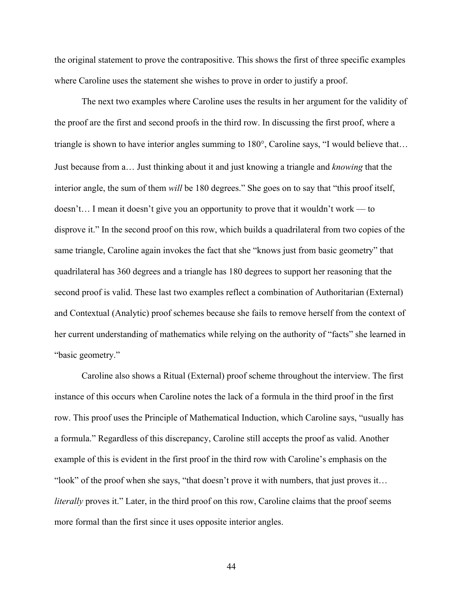the original statement to prove the contrapositive. This shows the first of three specific examples where Caroline uses the statement she wishes to prove in order to justify a proof.

The next two examples where Caroline uses the results in her argument for the validity of the proof are the first and second proofs in the third row. In discussing the first proof, where a triangle is shown to have interior angles summing to 180°, Caroline says, "I would believe that… Just because from a… Just thinking about it and just knowing a triangle and *knowing* that the interior angle, the sum of them *will* be 180 degrees." She goes on to say that "this proof itself, doesn't… I mean it doesn't give you an opportunity to prove that it wouldn't work — to disprove it." In the second proof on this row, which builds a quadrilateral from two copies of the same triangle, Caroline again invokes the fact that she "knows just from basic geometry" that quadrilateral has 360 degrees and a triangle has 180 degrees to support her reasoning that the second proof is valid. These last two examples reflect a combination of Authoritarian (External) and Contextual (Analytic) proof schemes because she fails to remove herself from the context of her current understanding of mathematics while relying on the authority of "facts" she learned in "basic geometry."

Caroline also shows a Ritual (External) proof scheme throughout the interview. The first instance of this occurs when Caroline notes the lack of a formula in the third proof in the first row. This proof uses the Principle of Mathematical Induction, which Caroline says, "usually has a formula." Regardless of this discrepancy, Caroline still accepts the proof as valid. Another example of this is evident in the first proof in the third row with Caroline's emphasis on the "look" of the proof when she says, "that doesn't prove it with numbers, that just proves it… *literally* proves it." Later, in the third proof on this row, Caroline claims that the proof seems more formal than the first since it uses opposite interior angles.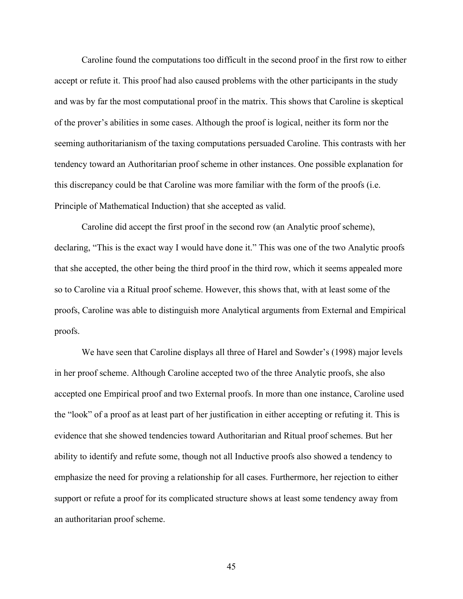Caroline found the computations too difficult in the second proof in the first row to either accept or refute it. This proof had also caused problems with the other participants in the study and was by far the most computational proof in the matrix. This shows that Caroline is skeptical of the prover's abilities in some cases. Although the proof is logical, neither its form nor the seeming authoritarianism of the taxing computations persuaded Caroline. This contrasts with her tendency toward an Authoritarian proof scheme in other instances. One possible explanation for this discrepancy could be that Caroline was more familiar with the form of the proofs (i.e. Principle of Mathematical Induction) that she accepted as valid.

Caroline did accept the first proof in the second row (an Analytic proof scheme), declaring, "This is the exact way I would have done it." This was one of the two Analytic proofs that she accepted, the other being the third proof in the third row, which it seems appealed more so to Caroline via a Ritual proof scheme. However, this shows that, with at least some of the proofs, Caroline was able to distinguish more Analytical arguments from External and Empirical proofs.

We have seen that Caroline displays all three of Harel and Sowder's (1998) major levels in her proof scheme. Although Caroline accepted two of the three Analytic proofs, she also accepted one Empirical proof and two External proofs. In more than one instance, Caroline used the "look" of a proof as at least part of her justification in either accepting or refuting it. This is evidence that she showed tendencies toward Authoritarian and Ritual proof schemes. But her ability to identify and refute some, though not all Inductive proofs also showed a tendency to emphasize the need for proving a relationship for all cases. Furthermore, her rejection to either support or refute a proof for its complicated structure shows at least some tendency away from an authoritarian proof scheme.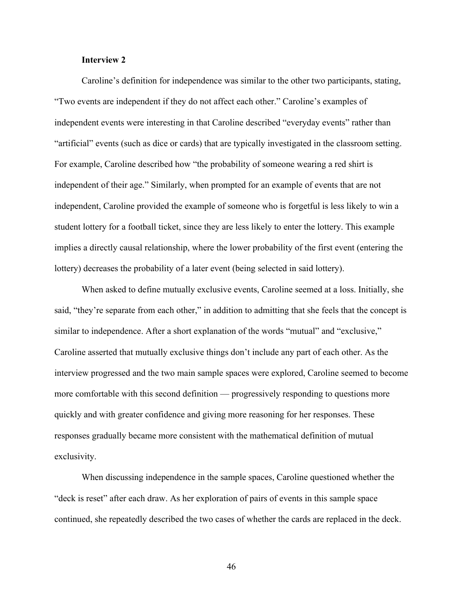# **Interview 2**

Caroline's definition for independence was similar to the other two participants, stating, "Two events are independent if they do not affect each other." Caroline's examples of independent events were interesting in that Caroline described "everyday events" rather than "artificial" events (such as dice or cards) that are typically investigated in the classroom setting. For example, Caroline described how "the probability of someone wearing a red shirt is independent of their age." Similarly, when prompted for an example of events that are not independent, Caroline provided the example of someone who is forgetful is less likely to win a student lottery for a football ticket, since they are less likely to enter the lottery. This example implies a directly causal relationship, where the lower probability of the first event (entering the lottery) decreases the probability of a later event (being selected in said lottery).

When asked to define mutually exclusive events, Caroline seemed at a loss. Initially, she said, "they're separate from each other," in addition to admitting that she feels that the concept is similar to independence. After a short explanation of the words "mutual" and "exclusive," Caroline asserted that mutually exclusive things don't include any part of each other. As the interview progressed and the two main sample spaces were explored, Caroline seemed to become more comfortable with this second definition — progressively responding to questions more quickly and with greater confidence and giving more reasoning for her responses. These responses gradually became more consistent with the mathematical definition of mutual exclusivity.

When discussing independence in the sample spaces, Caroline questioned whether the "deck is reset" after each draw. As her exploration of pairs of events in this sample space continued, she repeatedly described the two cases of whether the cards are replaced in the deck.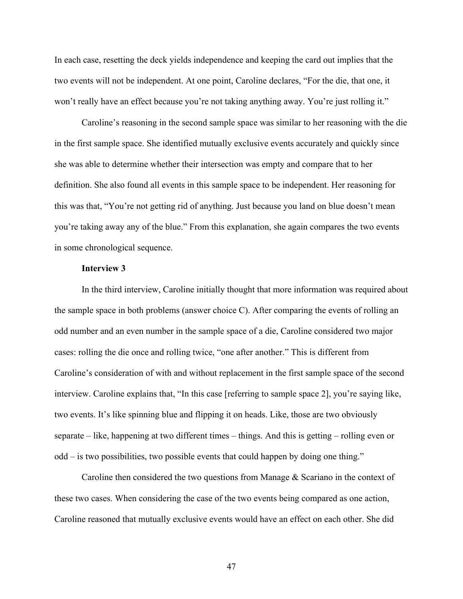In each case, resetting the deck yields independence and keeping the card out implies that the two events will not be independent. At one point, Caroline declares, "For the die, that one, it won't really have an effect because you're not taking anything away. You're just rolling it."

Caroline's reasoning in the second sample space was similar to her reasoning with the die in the first sample space. She identified mutually exclusive events accurately and quickly since she was able to determine whether their intersection was empty and compare that to her definition. She also found all events in this sample space to be independent. Her reasoning for this was that, "You're not getting rid of anything. Just because you land on blue doesn't mean you're taking away any of the blue." From this explanation, she again compares the two events in some chronological sequence.

#### **Interview 3**

In the third interview, Caroline initially thought that more information was required about the sample space in both problems (answer choice C). After comparing the events of rolling an odd number and an even number in the sample space of a die, Caroline considered two major cases: rolling the die once and rolling twice, "one after another." This is different from Caroline's consideration of with and without replacement in the first sample space of the second interview. Caroline explains that, "In this case [referring to sample space 2], you're saying like, two events. It's like spinning blue and flipping it on heads. Like, those are two obviously separate – like, happening at two different times – things. And this is getting – rolling even or odd – is two possibilities, two possible events that could happen by doing one thing."

Caroline then considered the two questions from Manage & Scariano in the context of these two cases. When considering the case of the two events being compared as one action, Caroline reasoned that mutually exclusive events would have an effect on each other. She did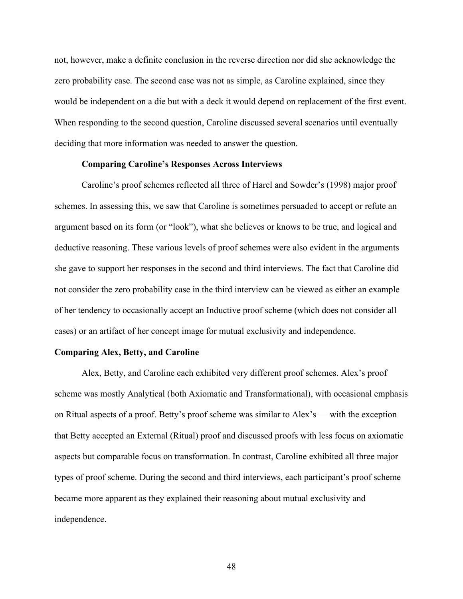not, however, make a definite conclusion in the reverse direction nor did she acknowledge the zero probability case. The second case was not as simple, as Caroline explained, since they would be independent on a die but with a deck it would depend on replacement of the first event. When responding to the second question, Caroline discussed several scenarios until eventually deciding that more information was needed to answer the question.

# **Comparing Caroline's Responses Across Interviews**

Caroline's proof schemes reflected all three of Harel and Sowder's (1998) major proof schemes. In assessing this, we saw that Caroline is sometimes persuaded to accept or refute an argument based on its form (or "look"), what she believes or knows to be true, and logical and deductive reasoning. These various levels of proof schemes were also evident in the arguments she gave to support her responses in the second and third interviews. The fact that Caroline did not consider the zero probability case in the third interview can be viewed as either an example of her tendency to occasionally accept an Inductive proof scheme (which does not consider all cases) or an artifact of her concept image for mutual exclusivity and independence.

### **Comparing Alex, Betty, and Caroline**

Alex, Betty, and Caroline each exhibited very different proof schemes. Alex's proof scheme was mostly Analytical (both Axiomatic and Transformational), with occasional emphasis on Ritual aspects of a proof. Betty's proof scheme was similar to Alex's — with the exception that Betty accepted an External (Ritual) proof and discussed proofs with less focus on axiomatic aspects but comparable focus on transformation. In contrast, Caroline exhibited all three major types of proof scheme. During the second and third interviews, each participant's proof scheme became more apparent as they explained their reasoning about mutual exclusivity and independence.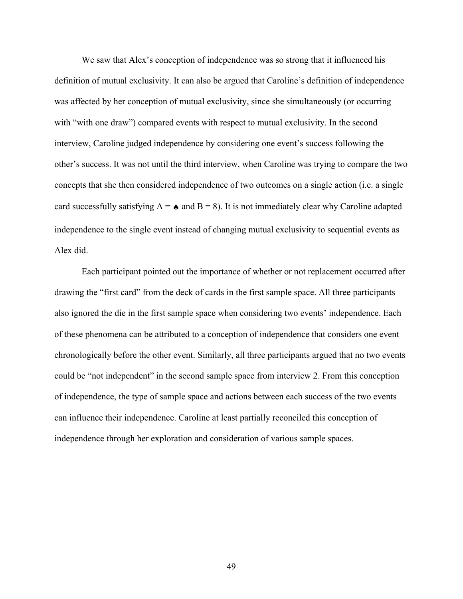We saw that Alex's conception of independence was so strong that it influenced his definition of mutual exclusivity. It can also be argued that Caroline's definition of independence was affected by her conception of mutual exclusivity, since she simultaneously (or occurring with "with one draw") compared events with respect to mutual exclusivity. In the second interview, Caroline judged independence by considering one event's success following the other's success. It was not until the third interview, when Caroline was trying to compare the two concepts that she then considered independence of two outcomes on a single action (i.e. a single card successfully satisfying  $A = \bullet$  and  $B = 8$ ). It is not immediately clear why Caroline adapted independence to the single event instead of changing mutual exclusivity to sequential events as Alex did.

Each participant pointed out the importance of whether or not replacement occurred after drawing the "first card" from the deck of cards in the first sample space. All three participants also ignored the die in the first sample space when considering two events' independence. Each of these phenomena can be attributed to a conception of independence that considers one event chronologically before the other event. Similarly, all three participants argued that no two events could be "not independent" in the second sample space from interview 2. From this conception of independence, the type of sample space and actions between each success of the two events can influence their independence. Caroline at least partially reconciled this conception of independence through her exploration and consideration of various sample spaces.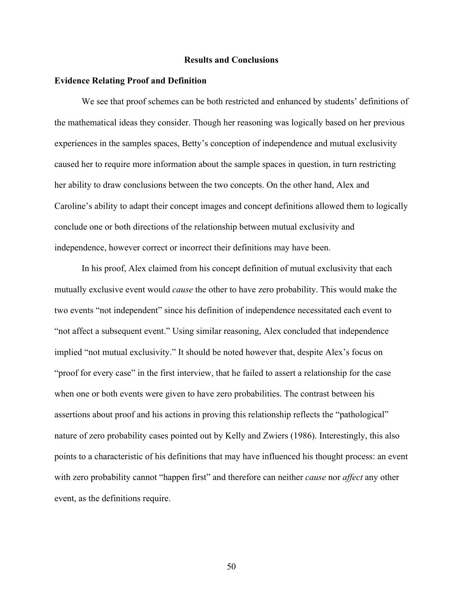#### **Results and Conclusions**

#### **Evidence Relating Proof and Definition**

We see that proof schemes can be both restricted and enhanced by students' definitions of the mathematical ideas they consider. Though her reasoning was logically based on her previous experiences in the samples spaces, Betty's conception of independence and mutual exclusivity caused her to require more information about the sample spaces in question, in turn restricting her ability to draw conclusions between the two concepts. On the other hand, Alex and Caroline's ability to adapt their concept images and concept definitions allowed them to logically conclude one or both directions of the relationship between mutual exclusivity and independence, however correct or incorrect their definitions may have been.

In his proof, Alex claimed from his concept definition of mutual exclusivity that each mutually exclusive event would *cause* the other to have zero probability. This would make the two events "not independent" since his definition of independence necessitated each event to "not affect a subsequent event." Using similar reasoning, Alex concluded that independence implied "not mutual exclusivity." It should be noted however that, despite Alex's focus on "proof for every case" in the first interview, that he failed to assert a relationship for the case when one or both events were given to have zero probabilities. The contrast between his assertions about proof and his actions in proving this relationship reflects the "pathological" nature of zero probability cases pointed out by Kelly and Zwiers (1986). Interestingly, this also points to a characteristic of his definitions that may have influenced his thought process: an event with zero probability cannot "happen first" and therefore can neither *cause* nor *affect* any other event, as the definitions require.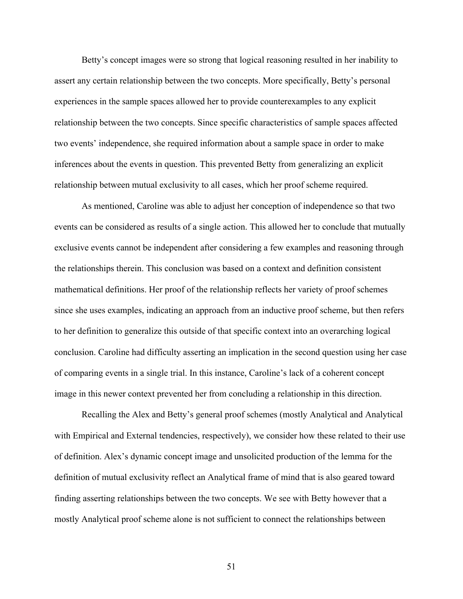Betty's concept images were so strong that logical reasoning resulted in her inability to assert any certain relationship between the two concepts. More specifically, Betty's personal experiences in the sample spaces allowed her to provide counterexamples to any explicit relationship between the two concepts. Since specific characteristics of sample spaces affected two events' independence, she required information about a sample space in order to make inferences about the events in question. This prevented Betty from generalizing an explicit relationship between mutual exclusivity to all cases, which her proof scheme required.

As mentioned, Caroline was able to adjust her conception of independence so that two events can be considered as results of a single action. This allowed her to conclude that mutually exclusive events cannot be independent after considering a few examples and reasoning through the relationships therein. This conclusion was based on a context and definition consistent mathematical definitions. Her proof of the relationship reflects her variety of proof schemes since she uses examples, indicating an approach from an inductive proof scheme, but then refers to her definition to generalize this outside of that specific context into an overarching logical conclusion. Caroline had difficulty asserting an implication in the second question using her case of comparing events in a single trial. In this instance, Caroline's lack of a coherent concept image in this newer context prevented her from concluding a relationship in this direction.

Recalling the Alex and Betty's general proof schemes (mostly Analytical and Analytical with Empirical and External tendencies, respectively), we consider how these related to their use of definition. Alex's dynamic concept image and unsolicited production of the lemma for the definition of mutual exclusivity reflect an Analytical frame of mind that is also geared toward finding asserting relationships between the two concepts. We see with Betty however that a mostly Analytical proof scheme alone is not sufficient to connect the relationships between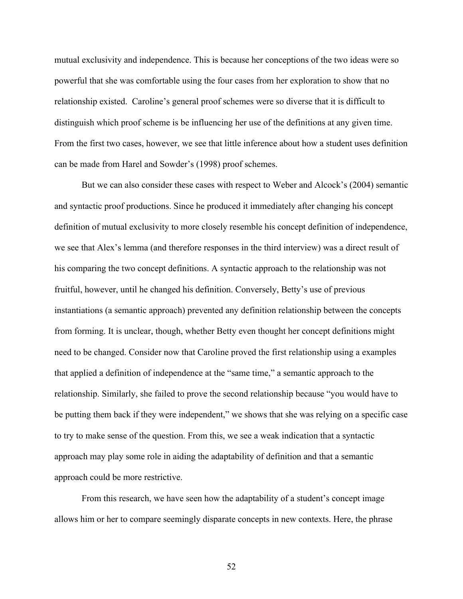mutual exclusivity and independence. This is because her conceptions of the two ideas were so powerful that she was comfortable using the four cases from her exploration to show that no relationship existed. Caroline's general proof schemes were so diverse that it is difficult to distinguish which proof scheme is be influencing her use of the definitions at any given time. From the first two cases, however, we see that little inference about how a student uses definition can be made from Harel and Sowder's (1998) proof schemes.

But we can also consider these cases with respect to Weber and Alcock's (2004) semantic and syntactic proof productions. Since he produced it immediately after changing his concept definition of mutual exclusivity to more closely resemble his concept definition of independence, we see that Alex's lemma (and therefore responses in the third interview) was a direct result of his comparing the two concept definitions. A syntactic approach to the relationship was not fruitful, however, until he changed his definition. Conversely, Betty's use of previous instantiations (a semantic approach) prevented any definition relationship between the concepts from forming. It is unclear, though, whether Betty even thought her concept definitions might need to be changed. Consider now that Caroline proved the first relationship using a examples that applied a definition of independence at the "same time," a semantic approach to the relationship. Similarly, she failed to prove the second relationship because "you would have to be putting them back if they were independent," we shows that she was relying on a specific case to try to make sense of the question. From this, we see a weak indication that a syntactic approach may play some role in aiding the adaptability of definition and that a semantic approach could be more restrictive.

From this research, we have seen how the adaptability of a student's concept image allows him or her to compare seemingly disparate concepts in new contexts. Here, the phrase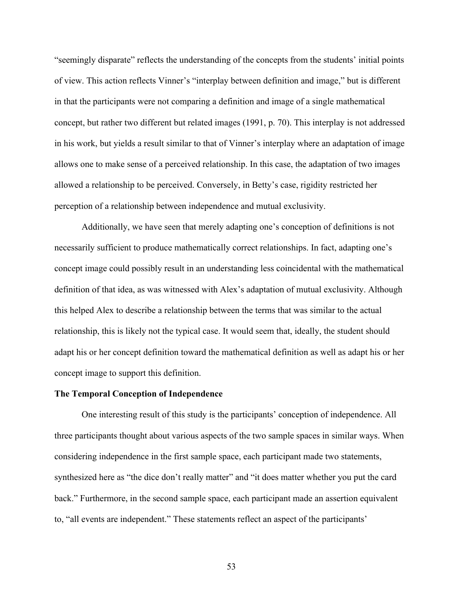"seemingly disparate" reflects the understanding of the concepts from the students' initial points of view. This action reflects Vinner's "interplay between definition and image," but is different in that the participants were not comparing a definition and image of a single mathematical concept, but rather two different but related images (1991, p. 70). This interplay is not addressed in his work, but yields a result similar to that of Vinner's interplay where an adaptation of image allows one to make sense of a perceived relationship. In this case, the adaptation of two images allowed a relationship to be perceived. Conversely, in Betty's case, rigidity restricted her perception of a relationship between independence and mutual exclusivity.

Additionally, we have seen that merely adapting one's conception of definitions is not necessarily sufficient to produce mathematically correct relationships. In fact, adapting one's concept image could possibly result in an understanding less coincidental with the mathematical definition of that idea, as was witnessed with Alex's adaptation of mutual exclusivity. Although this helped Alex to describe a relationship between the terms that was similar to the actual relationship, this is likely not the typical case. It would seem that, ideally, the student should adapt his or her concept definition toward the mathematical definition as well as adapt his or her concept image to support this definition.

#### **The Temporal Conception of Independence**

One interesting result of this study is the participants' conception of independence. All three participants thought about various aspects of the two sample spaces in similar ways. When considering independence in the first sample space, each participant made two statements, synthesized here as "the dice don't really matter" and "it does matter whether you put the card back." Furthermore, in the second sample space, each participant made an assertion equivalent to, "all events are independent." These statements reflect an aspect of the participants'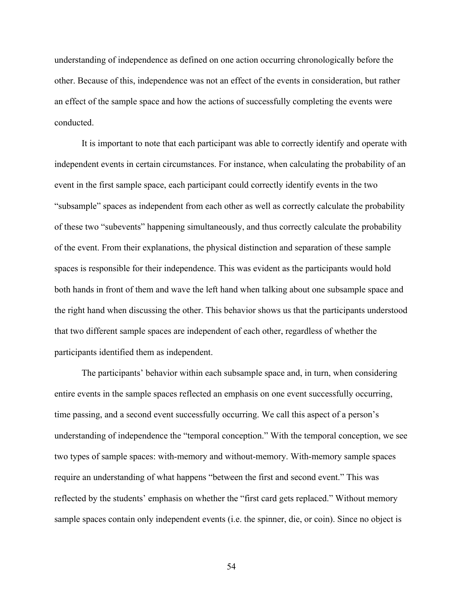understanding of independence as defined on one action occurring chronologically before the other. Because of this, independence was not an effect of the events in consideration, but rather an effect of the sample space and how the actions of successfully completing the events were conducted.

It is important to note that each participant was able to correctly identify and operate with independent events in certain circumstances. For instance, when calculating the probability of an event in the first sample space, each participant could correctly identify events in the two "subsample" spaces as independent from each other as well as correctly calculate the probability of these two "subevents" happening simultaneously, and thus correctly calculate the probability of the event. From their explanations, the physical distinction and separation of these sample spaces is responsible for their independence. This was evident as the participants would hold both hands in front of them and wave the left hand when talking about one subsample space and the right hand when discussing the other. This behavior shows us that the participants understood that two different sample spaces are independent of each other, regardless of whether the participants identified them as independent.

The participants' behavior within each subsample space and, in turn, when considering entire events in the sample spaces reflected an emphasis on one event successfully occurring, time passing, and a second event successfully occurring. We call this aspect of a person's understanding of independence the "temporal conception." With the temporal conception, we see two types of sample spaces: with-memory and without-memory. With-memory sample spaces require an understanding of what happens "between the first and second event." This was reflected by the students' emphasis on whether the "first card gets replaced." Without memory sample spaces contain only independent events (i.e. the spinner, die, or coin). Since no object is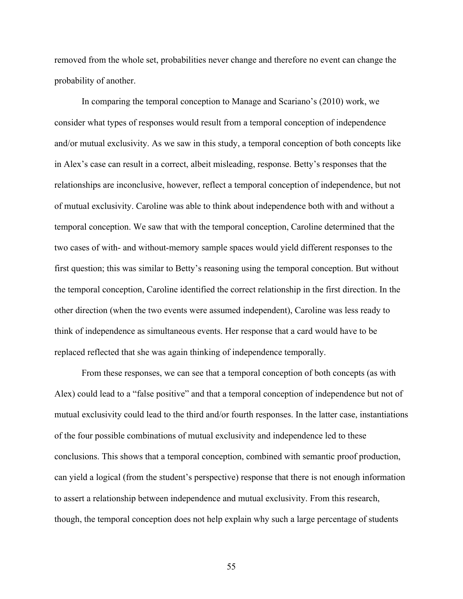removed from the whole set, probabilities never change and therefore no event can change the probability of another.

In comparing the temporal conception to Manage and Scariano's (2010) work, we consider what types of responses would result from a temporal conception of independence and/or mutual exclusivity. As we saw in this study, a temporal conception of both concepts like in Alex's case can result in a correct, albeit misleading, response. Betty's responses that the relationships are inconclusive, however, reflect a temporal conception of independence, but not of mutual exclusivity. Caroline was able to think about independence both with and without a temporal conception. We saw that with the temporal conception, Caroline determined that the two cases of with- and without-memory sample spaces would yield different responses to the first question; this was similar to Betty's reasoning using the temporal conception. But without the temporal conception, Caroline identified the correct relationship in the first direction. In the other direction (when the two events were assumed independent), Caroline was less ready to think of independence as simultaneous events. Her response that a card would have to be replaced reflected that she was again thinking of independence temporally.

From these responses, we can see that a temporal conception of both concepts (as with Alex) could lead to a "false positive" and that a temporal conception of independence but not of mutual exclusivity could lead to the third and/or fourth responses. In the latter case, instantiations of the four possible combinations of mutual exclusivity and independence led to these conclusions. This shows that a temporal conception, combined with semantic proof production, can yield a logical (from the student's perspective) response that there is not enough information to assert a relationship between independence and mutual exclusivity. From this research, though, the temporal conception does not help explain why such a large percentage of students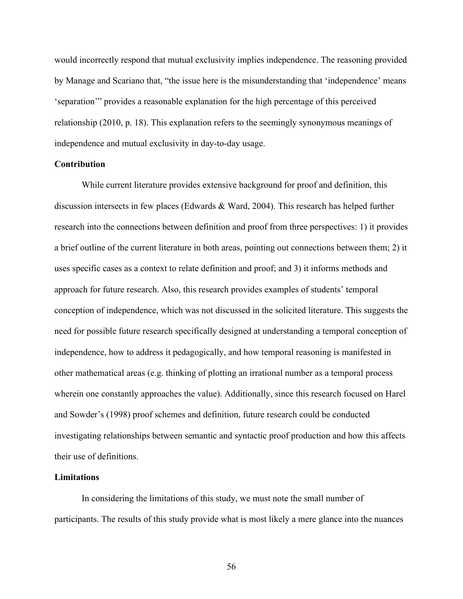would incorrectly respond that mutual exclusivity implies independence. The reasoning provided by Manage and Scariano that, "the issue here is the misunderstanding that 'independence' means 'separation'" provides a reasonable explanation for the high percentage of this perceived relationship (2010, p. 18). This explanation refers to the seemingly synonymous meanings of independence and mutual exclusivity in day-to-day usage.

# **Contribution**

While current literature provides extensive background for proof and definition, this discussion intersects in few places (Edwards & Ward, 2004). This research has helped further research into the connections between definition and proof from three perspectives: 1) it provides a brief outline of the current literature in both areas, pointing out connections between them; 2) it uses specific cases as a context to relate definition and proof; and 3) it informs methods and approach for future research. Also, this research provides examples of students' temporal conception of independence, which was not discussed in the solicited literature. This suggests the need for possible future research specifically designed at understanding a temporal conception of independence, how to address it pedagogically, and how temporal reasoning is manifested in other mathematical areas (e.g. thinking of plotting an irrational number as a temporal process wherein one constantly approaches the value). Additionally, since this research focused on Harel and Sowder's (1998) proof schemes and definition, future research could be conducted investigating relationships between semantic and syntactic proof production and how this affects their use of definitions.

## **Limitations**

In considering the limitations of this study, we must note the small number of participants. The results of this study provide what is most likely a mere glance into the nuances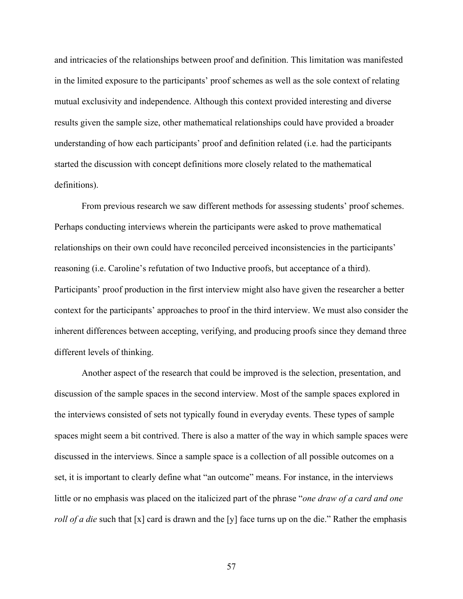and intricacies of the relationships between proof and definition. This limitation was manifested in the limited exposure to the participants' proof schemes as well as the sole context of relating mutual exclusivity and independence. Although this context provided interesting and diverse results given the sample size, other mathematical relationships could have provided a broader understanding of how each participants' proof and definition related (i.e. had the participants started the discussion with concept definitions more closely related to the mathematical definitions).

From previous research we saw different methods for assessing students' proof schemes. Perhaps conducting interviews wherein the participants were asked to prove mathematical relationships on their own could have reconciled perceived inconsistencies in the participants' reasoning (i.e. Caroline's refutation of two Inductive proofs, but acceptance of a third). Participants' proof production in the first interview might also have given the researcher a better context for the participants' approaches to proof in the third interview. We must also consider the inherent differences between accepting, verifying, and producing proofs since they demand three different levels of thinking.

Another aspect of the research that could be improved is the selection, presentation, and discussion of the sample spaces in the second interview. Most of the sample spaces explored in the interviews consisted of sets not typically found in everyday events. These types of sample spaces might seem a bit contrived. There is also a matter of the way in which sample spaces were discussed in the interviews. Since a sample space is a collection of all possible outcomes on a set, it is important to clearly define what "an outcome" means. For instance, in the interviews little or no emphasis was placed on the italicized part of the phrase "*one draw of a card and one roll of a die* such that [x] card is drawn and the [y] face turns up on the die." Rather the emphasis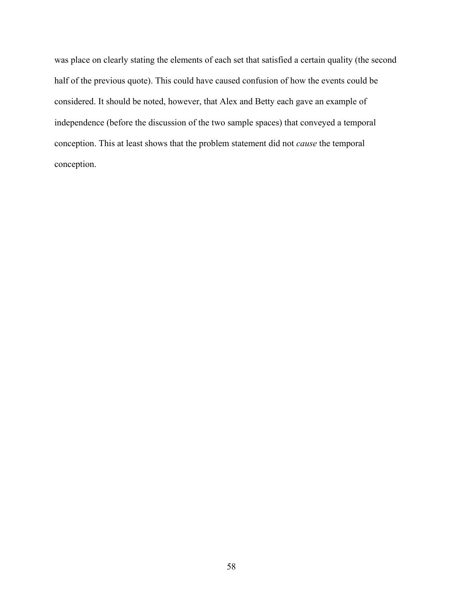was place on clearly stating the elements of each set that satisfied a certain quality (the second half of the previous quote). This could have caused confusion of how the events could be considered. It should be noted, however, that Alex and Betty each gave an example of independence (before the discussion of the two sample spaces) that conveyed a temporal conception. This at least shows that the problem statement did not *cause* the temporal conception.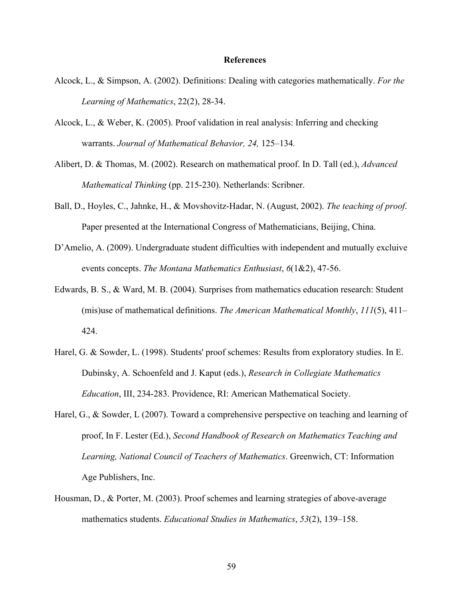#### **References**

- Alcock, L., & Simpson, A. (2002). Definitions: Dealing with categories mathematically. *For the Learning of Mathematics*, 22(2), 28-34.
- Alcock, L., & Weber, K. (2005). Proof validation in real analysis: Inferring and checking warrants. *Journal of Mathematical Behavior, 24,* 125–134*.*
- Alibert, D. & Thomas, M. (2002). Research on mathematical proof. In D. Tall (ed.), *Advanced Mathematical Thinking* (pp. 215-230). Netherlands: Scribner.
- Ball, D., Hoyles, C., Jahnke, H., & Movshovitz-Hadar, N. (August, 2002). *The teaching of proof*. Paper presented at the International Congress of Mathematicians, Beijing, China.
- D'Amelio, A. (2009). Undergraduate student difficulties with independent and mutually excluive events concepts. *The Montana Mathematics Enthusiast*, *6*(1&2), 47-56.
- Edwards, B. S., & Ward, M. B. (2004). Surprises from mathematics education research: Student (mis)use of mathematical definitions. *The American Mathematical Monthly*, *111*(5), 411– 424.
- Harel, G. & Sowder, L. (1998). Students' proof schemes: Results from exploratory studies. In E. Dubinsky, A. Schoenfeld and J. Kaput (eds.), *Research in Collegiate Mathematics Education*, III, 234-283. Providence, RI: American Mathematical Society.
- Harel, G., & Sowder, L (2007). Toward a comprehensive perspective on teaching and learning of proof, In F. Lester (Ed.), *Second Handbook of Research on Mathematics Teaching and Learning, National Council of Teachers of Mathematics*. Greenwich, CT: Information Age Publishers, Inc.
- Housman, D., & Porter, M. (2003). Proof schemes and learning strategies of above-average mathematics students. *Educational Studies in Mathematics*, *53*(2), 139–158.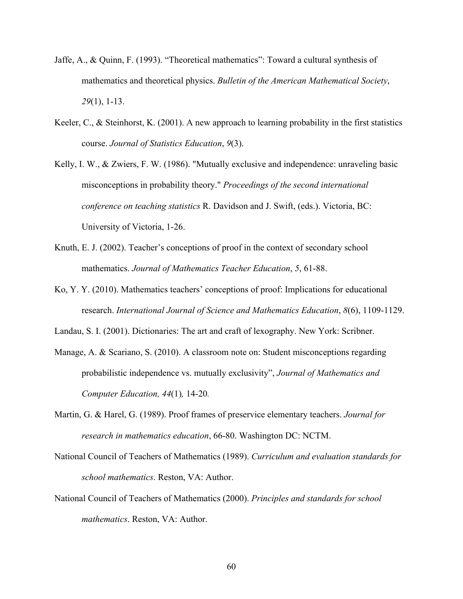- Jaffe, A., & Quinn, F. (1993). "Theoretical mathematics": Toward a cultural synthesis of mathematics and theoretical physics. *Bulletin of the American Mathematical Society*, *29*(1), 1-13.
- Keeler, C., & Steinhorst, K. (2001). A new approach to learning probability in the first statistics course. *Journal of Statistics Education*, *9*(3).
- Kelly, I. W., & Zwiers, F. W. (1986). "Mutually exclusive and independence: unraveling basic misconceptions in probability theory." *Proceedings of the second international conference on teaching statistics* R. Davidson and J. Swift, (eds.). Victoria, BC: University of Victoria, 1-26.
- Knuth, E. J. (2002). Teacher's conceptions of proof in the context of secondary school mathematics. *Journal of Mathematics Teacher Education*, *5*, 61-88.
- Ko, Y. Y. (2010). Mathematics teachers' conceptions of proof: Implications for educational research. *International Journal of Science and Mathematics Education*, *8*(6), 1109-1129.
- Landau, S. I. (2001). Dictionaries: The art and craft of lexography. New York: Scribner.
- Manage, A. & Scariano, S. (2010). A classroom note on: Student misconceptions regarding probabilistic independence vs. mutually exclusivity", *Journal of Mathematics and Computer Education, 44*(1)*,* 14-20*.*
- Martin, G. & Harel, G. (1989). Proof frames of preservice elementary teachers. *Journal for research in mathematics education*, 66-80. Washington DC: NCTM.
- National Council of Teachers of Mathematics (1989). *Curriculum and evaluation standards for school mathematics*. Reston, VA: Author.
- National Council of Teachers of Mathematics (2000). *Principles and standards for school mathematics*. Reston, VA: Author.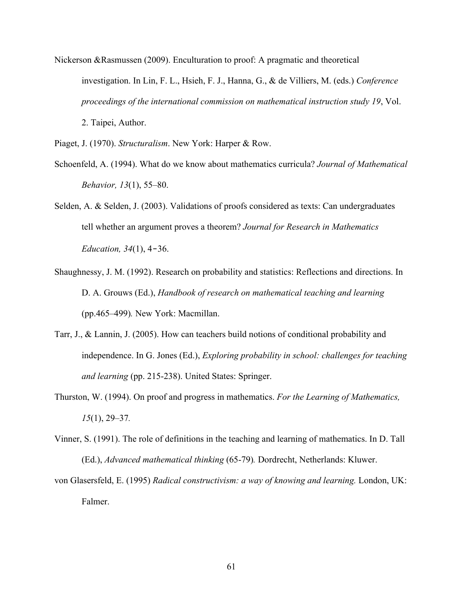Nickerson &Rasmussen (2009). Enculturation to proof: A pragmatic and theoretical investigation. In Lin, F. L., Hsieh, F. J., Hanna, G., & de Villiers, M. (eds.) *Conference proceedings of the international commission on mathematical instruction study 19*, Vol. 2. Taipei, Author.

Piaget, J. (1970). *Structuralism*. New York: Harper & Row.

- Schoenfeld, A. (1994). What do we know about mathematics curricula? *Journal of Mathematical Behavior, 13*(1), 55–80.
- Selden, A. & Selden, J. (2003). Validations of proofs considered as texts: Can undergraduates tell whether an argument proves a theorem? *Journal for Research in Mathematics Education, 34*(1), 4‐36.
- Shaughnessy, J. M. (1992). Research on probability and statistics: Reflections and directions. In D. A. Grouws (Ed.), *Handbook of research on mathematical teaching and learning*  (pp.465–499)*.* New York: Macmillan.
- Tarr, J., & Lannin, J. (2005). How can teachers build notions of conditional probability and independence. In G. Jones (Ed.), *Exploring probability in school: challenges for teaching and learning* (pp. 215-238). United States: Springer.
- Thurston, W. (1994). On proof and progress in mathematics. *For the Learning of Mathematics, 15*(1), 29–37*.*
- Vinner, S. (1991). The role of definitions in the teaching and learning of mathematics. In D. Tall (Ed.), *Advanced mathematical thinking* (65-79)*.* Dordrecht, Netherlands: Kluwer.
- von Glasersfeld, E. (1995) *Radical constructivism: a way of knowing and learning.* London, UK: Falmer.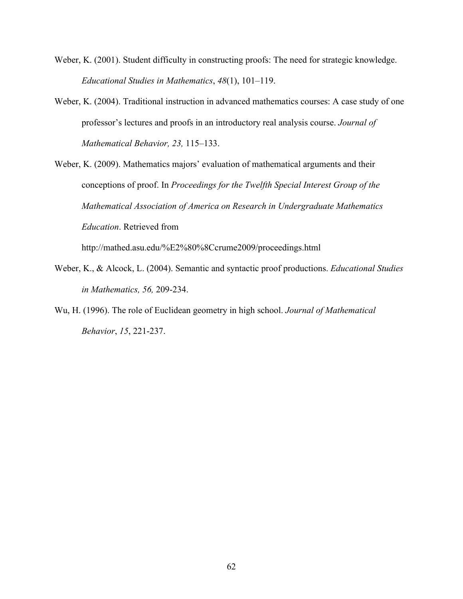- Weber, K. (2001). Student difficulty in constructing proofs: The need for strategic knowledge. *Educational Studies in Mathematics*, *48*(1), 101–119.
- Weber, K. (2004). Traditional instruction in advanced mathematics courses: A case study of one professor's lectures and proofs in an introductory real analysis course. *Journal of Mathematical Behavior, 23,* 115–133.

Weber, K. (2009). Mathematics majors' evaluation of mathematical arguments and their conceptions of proof. In *Proceedings for the Twelfth Special Interest Group of the Mathematical Association of America on Research in Undergraduate Mathematics Education*. Retrieved from

http://mathed.asu.edu/%E2%80%8Ccrume2009/proceedings.html

- Weber, K., & Alcock, L. (2004). Semantic and syntactic proof productions. *Educational Studies in Mathematics, 56,* 209-234.
- Wu, H. (1996). The role of Euclidean geometry in high school. *Journal of Mathematical Behavior*, *15*, 221-237.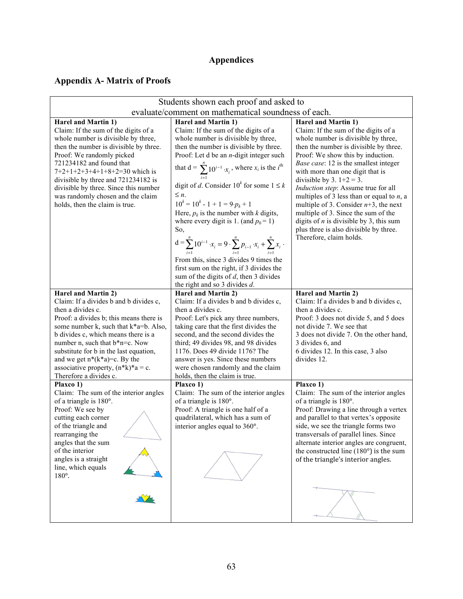# **Appendices**

# **Appendix A- Matrix of Proofs**

| Students shown each proof and asked to                      |                                                                                             |                                                                           |  |  |  |  |
|-------------------------------------------------------------|---------------------------------------------------------------------------------------------|---------------------------------------------------------------------------|--|--|--|--|
| evaluate/comment on mathematical soundness of each.         |                                                                                             |                                                                           |  |  |  |  |
| <b>Harel and Martin 1)</b>                                  | <b>Harel and Martin 1)</b>                                                                  | Harel and Martin 1)                                                       |  |  |  |  |
| Claim: If the sum of the digits of a                        | Claim: If the sum of the digits of a                                                        | Claim: If the sum of the digits of a                                      |  |  |  |  |
| whole number is divisible by three,                         | whole number is divisible by three,                                                         | whole number is divisible by three,                                       |  |  |  |  |
| then the number is divisible by three.                      | then the number is divisible by three.                                                      | then the number is divisible by three.                                    |  |  |  |  |
| Proof: We randomly picked<br>721234182 and found that       | Proof: Let $d$ be an <i>n</i> -digit integer such                                           | Proof: We show this by induction.                                         |  |  |  |  |
| $7+2+1+2+3+4+1+8+2=30$ which is                             | that $d = \sum_{i=1}^{n} 10^{i-1} x_i$ , where $x_i$ is the $i^{th}$                        | Base case: 12 is the smallest integer<br>with more than one digit that is |  |  |  |  |
| divisible by three and 721234182 is                         |                                                                                             | divisible by 3. $1+2 = 3$ .                                               |  |  |  |  |
| divisible by three. Since this number                       | digit of d. Consider $10^k$ for some $1 \le k$                                              | Induction step: Assume true for all                                       |  |  |  |  |
| was randomly chosen and the claim                           | $\leq n$ .                                                                                  | multiples of 3 less than or equal to $n$ , a                              |  |  |  |  |
| holds, then the claim is true.                              | $10^k = 10^k - 1 + 1 = 9 \cdot p_k + 1$                                                     | multiple of 3. Consider $n+3$ , the next                                  |  |  |  |  |
|                                                             | Here, $p_k$ is the number with k digits,                                                    | multiple of 3. Since the sum of the                                       |  |  |  |  |
|                                                             | where every digit is 1. (and $p_0 = 1$ )                                                    | digits of $n$ is divisible by 3, this sum                                 |  |  |  |  |
|                                                             | So,                                                                                         | plus three is also divisible by three.                                    |  |  |  |  |
|                                                             | $d = \sum_{i=1}^{n} 10^{i-1} x_i = 9 \cdot \sum_{i=1}^{n} p_{i-1} x_i + \sum_{i=1}^{n} x_i$ | Therefore, claim holds.                                                   |  |  |  |  |
|                                                             |                                                                                             |                                                                           |  |  |  |  |
|                                                             | From this, since 3 divides 9 times the                                                      |                                                                           |  |  |  |  |
|                                                             | first sum on the right, if 3 divides the                                                    |                                                                           |  |  |  |  |
|                                                             | sum of the digits of $d$ , then 3 divides                                                   |                                                                           |  |  |  |  |
|                                                             | the right and so 3 divides $d$ .                                                            |                                                                           |  |  |  |  |
| Harel and Martin 2)                                         | Harel and Martin 2)<br>Claim: If a divides b and b divides c,                               | Harel and Martin 2)                                                       |  |  |  |  |
| Claim: If a divides b and b divides c,<br>then a divides c. | then a divides c.                                                                           | Claim: If a divides b and b divides c,<br>then a divides c.               |  |  |  |  |
| Proof: a divides b; this means there is                     | Proof: Let's pick any three numbers,                                                        | Proof: 3 does not divide 5, and 5 does                                    |  |  |  |  |
| some number k, such that k*a=b. Also,                       | taking care that the first divides the                                                      | not divide 7. We see that                                                 |  |  |  |  |
| b divides c, which means there is a                         | second, and the second divides the                                                          | 3 does not divide 7. On the other hand,                                   |  |  |  |  |
| number n, such that b*n=c. Now                              | third; 49 divides 98, and 98 divides                                                        | 3 divides 6, and                                                          |  |  |  |  |
| substitute for b in the last equation,                      | 1176. Does 49 divide 1176? The                                                              | 6 divides 12. In this case, 3 also                                        |  |  |  |  |
| and we get $n^*(k^*a)=c$ . By the                           | answer is yes. Since these numbers                                                          | divides 12.                                                               |  |  |  |  |
| associative property, $(n*k)*a = c$ .                       | were chosen randomly and the claim                                                          |                                                                           |  |  |  |  |
| Therefore a divides c.<br>Plaxco 1)                         | holds, then the claim is true.<br>Plaxco 1)                                                 | Plaxco 1)                                                                 |  |  |  |  |
| Claim: The sum of the interior angles                       | Claim: The sum of the interior angles                                                       | Claim: The sum of the interior angles                                     |  |  |  |  |
| of a triangle is 180°.                                      | of a triangle is 180°.                                                                      | of a triangle is 180°.                                                    |  |  |  |  |
| Proof: We see by                                            | Proof: A triangle is one half of a                                                          | Proof: Drawing a line through a vertex                                    |  |  |  |  |
| cutting each corner                                         | quadrilateral, which has a sum of                                                           | and parallel to that vertex's opposite                                    |  |  |  |  |
| of the triangle and                                         | interior angles equal to 360°.                                                              | side, we see the triangle forms two                                       |  |  |  |  |
| rearranging the                                             |                                                                                             | transversals of parallel lines. Since                                     |  |  |  |  |
| angles that the sum                                         |                                                                                             | alternate interior angles are congruent,                                  |  |  |  |  |
| of the interior                                             |                                                                                             | the constructed line $(180^{\circ})$ is the sum                           |  |  |  |  |
| angles is a straight<br>line, which equals                  |                                                                                             | of the triangle's interior angles.                                        |  |  |  |  |
| 180°.                                                       |                                                                                             |                                                                           |  |  |  |  |
|                                                             |                                                                                             |                                                                           |  |  |  |  |
|                                                             |                                                                                             |                                                                           |  |  |  |  |
|                                                             |                                                                                             |                                                                           |  |  |  |  |
|                                                             |                                                                                             |                                                                           |  |  |  |  |
|                                                             |                                                                                             |                                                                           |  |  |  |  |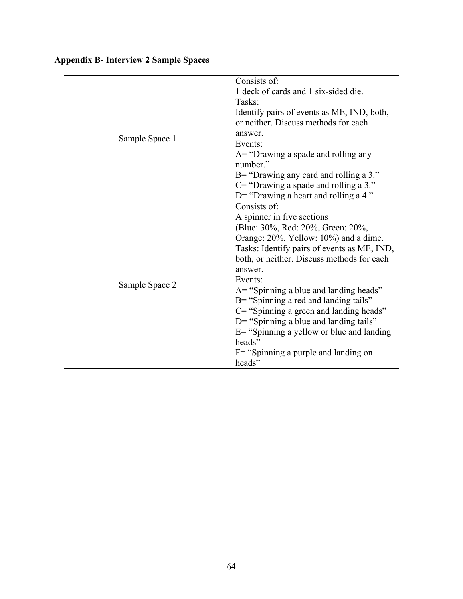| Sample Space 1 | Consists of:<br>1 deck of cards and 1 six-sided die.<br>Tasks:<br>Identify pairs of events as ME, IND, both,<br>or neither. Discuss methods for each<br>answer.<br>Events:<br>$A =$ "Drawing a spade and rolling any<br>number."<br>$B=$ "Drawing any card and rolling a 3."                                                                                                                                                                                                                                                          |
|----------------|---------------------------------------------------------------------------------------------------------------------------------------------------------------------------------------------------------------------------------------------------------------------------------------------------------------------------------------------------------------------------------------------------------------------------------------------------------------------------------------------------------------------------------------|
|                | $C =$ "Drawing a spade and rolling a 3."<br>D= "Drawing a heart and rolling a $4$ ."                                                                                                                                                                                                                                                                                                                                                                                                                                                  |
| Sample Space 2 | Consists of:<br>A spinner in five sections<br>(Blue: 30%, Red: 20%, Green: 20%,<br>Orange: 20%, Yellow: 10%) and a dime.<br>Tasks: Identify pairs of events as ME, IND,<br>both, or neither. Discuss methods for each<br>answer.<br>Events:<br>$A =$ "Spinning a blue and landing heads"<br>B= "Spinning a red and landing tails"<br>C= "Spinning a green and landing heads"<br>D= "Spinning a blue and landing tails"<br>$E$ = "Spinning a yellow or blue and landing<br>heads"<br>$F =$ "Spinning a purple and landing on<br>heads" |

# **Appendix B- Interview 2 Sample Spaces**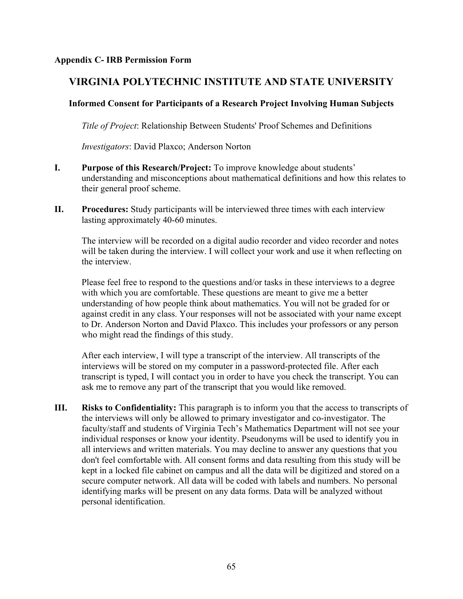# **VIRGINIA POLYTECHNIC INSTITUTE AND STATE UNIVERSITY**

# **Informed Consent for Participants of a Research Project Involving Human Subjects**

*Title of Project*: Relationship Between Students' Proof Schemes and Definitions

*Investigators*: David Plaxco; Anderson Norton

- **I. Purpose of this Research/Project:** To improve knowledge about students' understanding and misconceptions about mathematical definitions and how this relates to their general proof scheme.
- **II. Procedures:** Study participants will be interviewed three times with each interview lasting approximately 40-60 minutes.

The interview will be recorded on a digital audio recorder and video recorder and notes will be taken during the interview. I will collect your work and use it when reflecting on the interview.

Please feel free to respond to the questions and/or tasks in these interviews to a degree with which you are comfortable. These questions are meant to give me a better understanding of how people think about mathematics. You will not be graded for or against credit in any class. Your responses will not be associated with your name except to Dr. Anderson Norton and David Plaxco. This includes your professors or any person who might read the findings of this study.

After each interview, I will type a transcript of the interview. All transcripts of the interviews will be stored on my computer in a password-protected file. After each transcript is typed, I will contact you in order to have you check the transcript. You can ask me to remove any part of the transcript that you would like removed.

**III. Risks to Confidentiality:** This paragraph is to inform you that the access to transcripts of the interviews will only be allowed to primary investigator and co-investigator. The faculty/staff and students of Virginia Tech's Mathematics Department will not see your individual responses or know your identity. Pseudonyms will be used to identify you in all interviews and written materials. You may decline to answer any questions that you don't feel comfortable with. All consent forms and data resulting from this study will be kept in a locked file cabinet on campus and all the data will be digitized and stored on a secure computer network. All data will be coded with labels and numbers. No personal identifying marks will be present on any data forms. Data will be analyzed without personal identification.